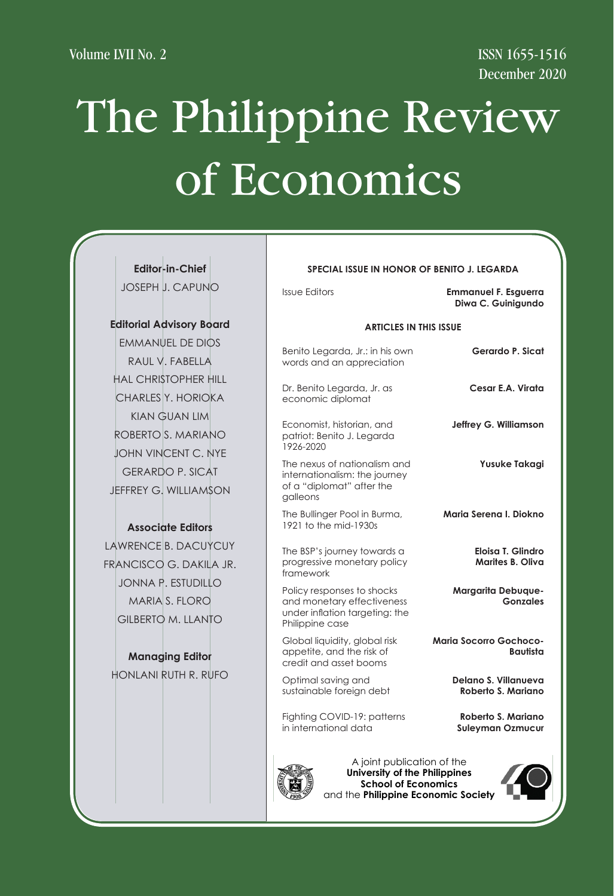**SPECIAL ISSUE IN HONOR OF AMADO A. CASTRO**

**SPECIAL ISSUE IN HONOR OF AMADO A. CASTRO**

**SPECIAL ISSUE IN HONOR OF AMADO A. CASTRO**

**SPECIAL ISSUE IN HONOR OF AMADO A. CASTRO**

**Emmanuel S. de Dios**

**SPECIAL ISSUE IN HONOR OF AMADO A. CASTRO**

**SPECIAL ISSUE IN HONOR OF AMADO A. CASTRO**

**SPECIAL ISSUE IN HONOR OF AMADO A. CASTRO**

**SPECIAL ISSUE IN HONOR OF AMADO A. CASTRO**

# The Philippine Review of Economics of Economics of Economics of Economics of Economics of Economics of Economics of Economics of Economics of Economics of Economics of Economics Volume LVII No. 2<br>
SSN 1655-1516<br>
December 2020<br>
December 2020 Philippine Rev

Issue Editors

**Editor-in-Chief Editor-in-Chief Editor-in-Chief Editor-in-Chief Editor-in-Chief Editor-in-Chief** JOSEPH J. CAPUNO **Editor-in-Chief** 

### **Editorial Advisory Board**

**EMMANUEL DE DIOS** RAUL V. FABELLA HAL CHRISTOPHER HILL CHARLES Y. HORIOKA CHARLES Y. HORIOKA CHARLES Y. HORIOKA CHARLES Y. HORIOKA CHARLES Y. HORIOKA CHARLES Y. HORIOKA CHARLES Y. HORIOKA CHARLES Y. HORIOKA ROBERTO S. MARIANO KIAN GUAN LIM ROBERTO S. MARIANO  $\begin{bmatrix} \text{ECON} \\ \text{B治} \end{bmatrix}$ JOHN VINCENT C. NYE JOHN VINCENT C. NYE JOHN VINCENT C. NYE JOHN VINCENT C. NYE JOHN VINCENT C. NYE JOHN VINCENT C. NYE JOHN VINCENT C. NYE JOHN VINCENT C. NYE JEFFREY G. WILLIAMSON GERARDO P. SICAT GERARDO P. SICAT GERARDO P. SICAT GERARDO P. SICAT GERARDO P. SICAT GERARDO P. SICAT GERARDO P. SICAT JEFFREY G. WILLIAMSON JEFFREY G. WILLIAMSON JEFFREY G. WILLIAMSON JEFFREY G. WILLIAMSON JEFFREY G. WILLIAMSON JEFFREY G. WILLIAMSON JEFFREY G. WILLIAMSON JEFFREY G. WILLIAMSON **Associate Editors** KIAN GUAN LIM

## **Associate Editors Associate Editors Associate Editors Associate Editors Associate Editors Associate Editors** RAMON L. CLARETE

DANTE B. CANLAS DANTE B. CANLAS DANTE B. CANLAS DANTE B. CANLAS DANTE B. CANLAS DANTE B. CANLAS DANTE B. CANLAS LAWRENCE B. DACUYCUY LAWRENCE B. DACUYCUY FRANCISCO G. DAKILA JR.<br>FRANCISCO G. DAKILA JR.  $JONNA$  P. ESTUDILLO FRANCISCO FRANCISCO CONDUCTIONS<br>MARIA S. FLORO GILBERTO M. LLANTO  $\begin{array}{|c|c|c|}\n\hline\n\text{1.5.1.6}\n\hline\n\end{array}$  framew FRANCISCO G. DAKILA JR. POLICY P  $\overline{\mathcal{L}}$  c.  $\overline{\mathcal{L}}$  c. David vince  $\overline{\mathcal{L}}$ 

# **Managing Editor**

HONLANI RUTH R. RUFO ANICETO C. ORBETA

| SPECIAL ISSUE IN HONOR OF BENITO J. LEGARDA       |                                                                                                               | -in-Chief                                      |
|---------------------------------------------------|---------------------------------------------------------------------------------------------------------------|------------------------------------------------|
| <b>Emmanuel F. Esguerra</b><br>Diwa C. Guinigundo | <b>Issue Editors</b>                                                                                          | <b>J. CAPUNO</b>                               |
| <b>ARTICLES IN THIS ISSUE</b>                     |                                                                                                               | dvisory Board                                  |
| Gerardo P. Sicat                                  | Benito Legarda, Jr.: in his own<br>words and an appreciation                                                  | JEL DE DIOS<br>'. FABELLA                      |
| Cesar E.A. Virata                                 | Dr. Benito Legarda, Jr. as<br>economic diplomat                                                               | <b>STOPHER HILL</b><br>Y. HORIOKA              |
| Jeffrey G. Williamson                             | Economist, historian, and<br>patriot: Benito J. Legarda<br>1926-2020                                          | <b>GUAN LIM</b><br>S. MARIANO                  |
| Yusuke Takagi                                     | The nexus of nationalism and<br>internationalism: the journey<br>of a "diplomat" after the<br>aalleons        | CENT C. NYE<br>O P. SICAT<br><b>WILLIAMSON</b> |
| Maria Serena I. Diokno                            | The Bullinger Pool in Burma,<br>1921 to the mid-1930s                                                         | ate Editors                                    |
| Eloisa T. Glindro<br>Marites B. Oliva             | The BSP's journey towards a<br>progressive monetary policy<br>framework                                       | <b>B. DACUYCUY</b><br>G. DAKILA JR.            |
| Margarita Debuque-<br><b>Gonzales</b>             | Policy responses to shocks<br>and monetary effectiveness<br>under inflation targeting: the<br>Philippine case | <b>ESTUDILLO</b><br>S. FLORO<br>M. LLANTO      |
| <b>Maria Socorro Gochoco-</b><br>Bautista         | Global liquidity, global risk<br>appetite, and the risk of<br>credit and asset booms                          | jing Editor                                    |
| Delano S. Villanueva<br>Roberto S. Mariano        | Optimal saving and<br>sustainable foreign debt                                                                | RUTH R. RUFO                                   |
| Roberto S. Mariano<br><b>Suleyman Ozmucur</b>     | Fighting COVID-19: patterns<br>in international data                                                          |                                                |



niversity of the Philippin **School of Economics** and the Philippine Economic Society **Fig. 1996** niversity of the Philippin **School of Economics** ersity of the Philippines **I**chool of Economics y of the Philippines **University of the Philippines** f the Philippines **A University of Economics Philippines Conomics Philippines** University of the Philippines<br>
School of Economics **School of Economics**

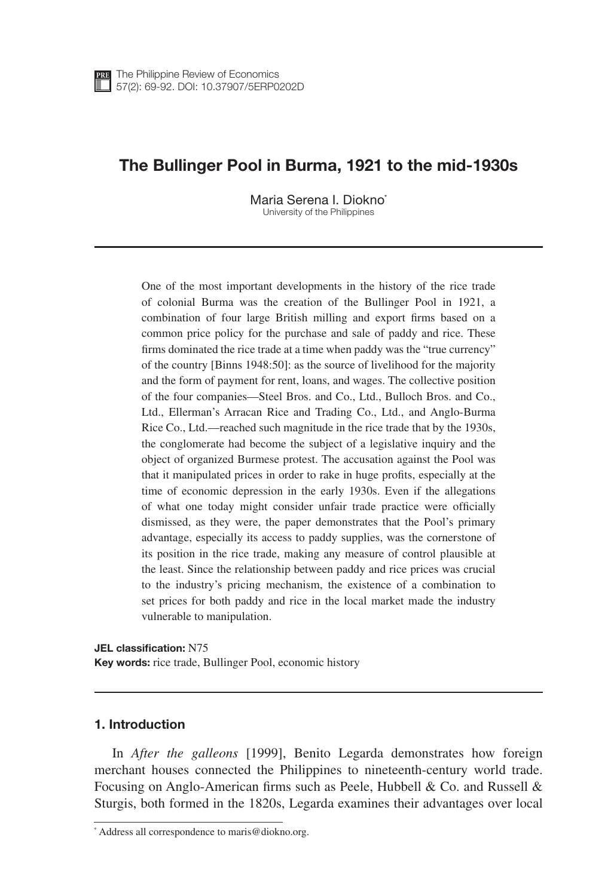### The Bullinger Pool in Burma, 1921 to the mid-1930s

Maria Serena I. Diokno\* University of the Philippines

One of the most important developments in the history of the rice trade of colonial Burma was the creation of the Bullinger Pool in 1921, a combination of four large British milling and export firms based on a common price policy for the purchase and sale of paddy and rice. These firms dominated the rice trade at a time when paddy was the "true currency" of the country [Binns 1948:50]: as the source of livelihood for the majority and the form of payment for rent, loans, and wages. The collective position of the four companies—Steel Bros. and Co., Ltd., Bulloch Bros. and Co., Ltd., Ellerman's Arracan Rice and Trading Co., Ltd., and Anglo-Burma Rice Co., Ltd.—reached such magnitude in the rice trade that by the 1930s, the conglomerate had become the subject of a legislative inquiry and the object of organized Burmese protest. The accusation against the Pool was that it manipulated prices in order to rake in huge profits, especially at the time of economic depression in the early 1930s. Even if the allegations of what one today might consider unfair trade practice were officially dismissed, as they were, the paper demonstrates that the Pool's primary advantage, especially its access to paddy supplies, was the cornerstone of its position in the rice trade, making any measure of control plausible at the least. Since the relationship between paddy and rice prices was crucial to the industry's pricing mechanism, the existence of a combination to set prices for both paddy and rice in the local market made the industry vulnerable to manipulation.

JEL classification: N75 Key words: rice trade, Bullinger Pool, economic history

#### 1. Introduction

In *After the galleons* [1999], Benito Legarda demonstrates how foreign merchant houses connected the Philippines to nineteenth-century world trade. Focusing on Anglo-American firms such as Peele, Hubbell & Co. and Russell & Sturgis, both formed in the 1820s, Legarda examines their advantages over local

<sup>\*</sup> Address all correspondence to maris@diokno.org.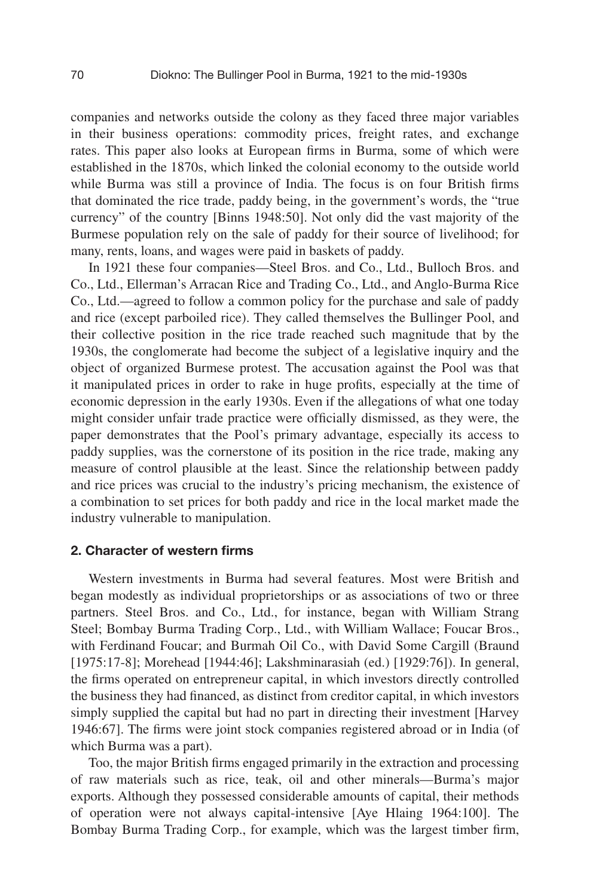companies and networks outside the colony as they faced three major variables in their business operations: commodity prices, freight rates, and exchange rates. This paper also looks at European firms in Burma, some of which were established in the 1870s, which linked the colonial economy to the outside world while Burma was still a province of India. The focus is on four British firms that dominated the rice trade, paddy being, in the government's words, the "true currency" of the country [Binns 1948:50]. Not only did the vast majority of the Burmese population rely on the sale of paddy for their source of livelihood; for many, rents, loans, and wages were paid in baskets of paddy.

In 1921 these four companies—Steel Bros. and Co., Ltd., Bulloch Bros. and Co., Ltd., Ellerman's Arracan Rice and Trading Co., Ltd., and Anglo-Burma Rice Co., Ltd.—agreed to follow a common policy for the purchase and sale of paddy and rice (except parboiled rice). They called themselves the Bullinger Pool, and their collective position in the rice trade reached such magnitude that by the 1930s, the conglomerate had become the subject of a legislative inquiry and the object of organized Burmese protest. The accusation against the Pool was that it manipulated prices in order to rake in huge profits, especially at the time of economic depression in the early 1930s. Even if the allegations of what one today might consider unfair trade practice were officially dismissed, as they were, the paper demonstrates that the Pool's primary advantage, especially its access to paddy supplies, was the cornerstone of its position in the rice trade, making any measure of control plausible at the least. Since the relationship between paddy and rice prices was crucial to the industry's pricing mechanism, the existence of a combination to set prices for both paddy and rice in the local market made the industry vulnerable to manipulation.

#### 2. Character of western firms

Western investments in Burma had several features. Most were British and began modestly as individual proprietorships or as associations of two or three partners. Steel Bros. and Co., Ltd., for instance, began with William Strang Steel; Bombay Burma Trading Corp., Ltd., with William Wallace; Foucar Bros., with Ferdinand Foucar; and Burmah Oil Co., with David Some Cargill (Braund [1975:17-8]; Morehead [1944:46]; Lakshminarasiah (ed.) [1929:76]). In general, the firms operated on entrepreneur capital, in which investors directly controlled the business they had financed, as distinct from creditor capital, in which investors simply supplied the capital but had no part in directing their investment [Harvey 1946:67]. The firms were joint stock companies registered abroad or in India (of which Burma was a part).

Too, the major British firms engaged primarily in the extraction and processing of raw materials such as rice, teak, oil and other minerals—Burma's major exports. Although they possessed considerable amounts of capital, their methods of operation were not always capital-intensive [Aye Hlaing 1964:100]. The Bombay Burma Trading Corp., for example, which was the largest timber firm,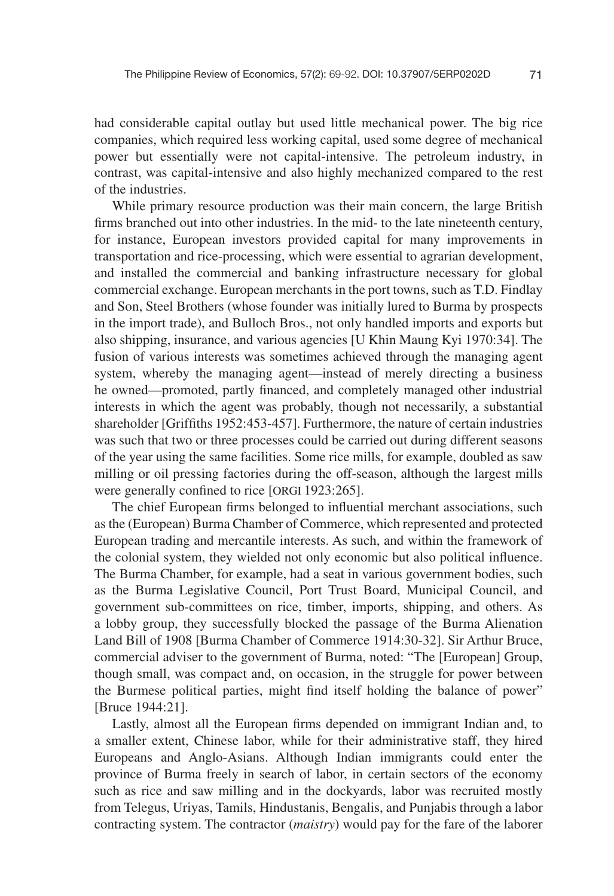had considerable capital outlay but used little mechanical power. The big rice companies, which required less working capital, used some degree of mechanical power but essentially were not capital-intensive. The petroleum industry, in contrast, was capital-intensive and also highly mechanized compared to the rest of the industries.

While primary resource production was their main concern, the large British firms branched out into other industries. In the mid- to the late nineteenth century, for instance, European investors provided capital for many improvements in transportation and rice-processing, which were essential to agrarian development, and installed the commercial and banking infrastructure necessary for global commercial exchange. European merchants in the port towns, such as T.D. Findlay and Son, Steel Brothers (whose founder was initially lured to Burma by prospects in the import trade), and Bulloch Bros., not only handled imports and exports but also shipping, insurance, and various agencies [U Khin Maung Kyi 1970:34]. The fusion of various interests was sometimes achieved through the managing agent system, whereby the managing agent—instead of merely directing a business he owned—promoted, partly financed, and completely managed other industrial interests in which the agent was probably, though not necessarily, a substantial shareholder [Griffiths 1952:453-457]. Furthermore, the nature of certain industries was such that two or three processes could be carried out during different seasons of the year using the same facilities. Some rice mills, for example, doubled as saw milling or oil pressing factories during the off-season, although the largest mills were generally confined to rice [ORGI 1923:265].

The chief European firms belonged to influential merchant associations, such as the (European) Burma Chamber of Commerce, which represented and protected European trading and mercantile interests. As such, and within the framework of the colonial system, they wielded not only economic but also political influence. The Burma Chamber, for example, had a seat in various government bodies, such as the Burma Legislative Council, Port Trust Board, Municipal Council, and government sub-committees on rice, timber, imports, shipping, and others. As a lobby group, they successfully blocked the passage of the Burma Alienation Land Bill of 1908 [Burma Chamber of Commerce 1914:30-32]. Sir Arthur Bruce, commercial adviser to the government of Burma, noted: "The [European] Group, though small, was compact and, on occasion, in the struggle for power between the Burmese political parties, might find itself holding the balance of power" [Bruce 1944:21].

Lastly, almost all the European firms depended on immigrant Indian and, to a smaller extent, Chinese labor, while for their administrative staff, they hired Europeans and Anglo-Asians. Although Indian immigrants could enter the province of Burma freely in search of labor, in certain sectors of the economy such as rice and saw milling and in the dockyards, labor was recruited mostly from Telegus, Uriyas, Tamils, Hindustanis, Bengalis, and Punjabis through a labor contracting system. The contractor (*maistry*) would pay for the fare of the laborer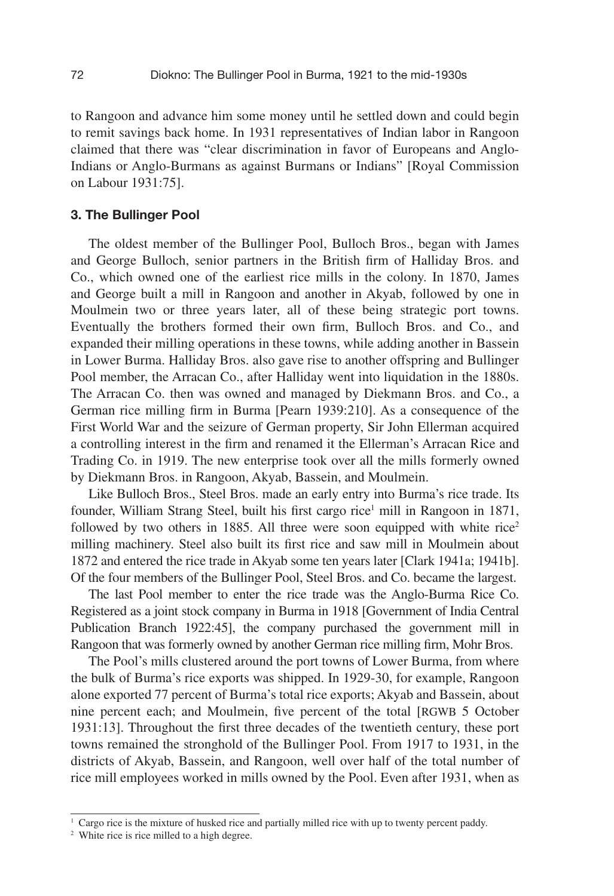to Rangoon and advance him some money until he settled down and could begin to remit savings back home. In 1931 representatives of Indian labor in Rangoon claimed that there was "clear discrimination in favor of Europeans and Anglo-Indians or Anglo-Burmans as against Burmans or Indians" [Royal Commission on Labour 1931:75].

#### 3. The Bullinger Pool

The oldest member of the Bullinger Pool, Bulloch Bros., began with James and George Bulloch, senior partners in the British firm of Halliday Bros. and Co., which owned one of the earliest rice mills in the colony. In 1870, James and George built a mill in Rangoon and another in Akyab, followed by one in Moulmein two or three years later, all of these being strategic port towns. Eventually the brothers formed their own firm, Bulloch Bros. and Co., and expanded their milling operations in these towns, while adding another in Bassein in Lower Burma. Halliday Bros. also gave rise to another offspring and Bullinger Pool member, the Arracan Co., after Halliday went into liquidation in the 1880s. The Arracan Co. then was owned and managed by Diekmann Bros. and Co., a German rice milling firm in Burma [Pearn 1939:210]. As a consequence of the First World War and the seizure of German property, Sir John Ellerman acquired a controlling interest in the firm and renamed it the Ellerman's Arracan Rice and Trading Co. in 1919. The new enterprise took over all the mills formerly owned by Diekmann Bros. in Rangoon, Akyab, Bassein, and Moulmein.

Like Bulloch Bros., Steel Bros. made an early entry into Burma's rice trade. Its founder, William Strang Steel, built his first cargo rice<sup>1</sup> mill in Rangoon in 1871, followed by two others in 1885. All three were soon equipped with white rice<sup>2</sup> milling machinery. Steel also built its first rice and saw mill in Moulmein about 1872 and entered the rice trade in Akyab some ten years later [Clark 1941a; 1941b]. Of the four members of the Bullinger Pool, Steel Bros. and Co. became the largest.

The last Pool member to enter the rice trade was the Anglo-Burma Rice Co. Registered as a joint stock company in Burma in 1918 [Government of India Central Publication Branch 1922:45], the company purchased the government mill in Rangoon that was formerly owned by another German rice milling firm, Mohr Bros.

The Pool's mills clustered around the port towns of Lower Burma, from where the bulk of Burma's rice exports was shipped. In 1929-30, for example, Rangoon alone exported 77 percent of Burma's total rice exports; Akyab and Bassein, about nine percent each; and Moulmein, five percent of the total [RGWB 5 October 1931:13]. Throughout the first three decades of the twentieth century, these port towns remained the stronghold of the Bullinger Pool. From 1917 to 1931, in the districts of Akyab, Bassein, and Rangoon, well over half of the total number of rice mill employees worked in mills owned by the Pool. Even after 1931, when as

<sup>1</sup> Cargo rice is the mixture of husked rice and partially milled rice with up to twenty percent paddy.

<sup>&</sup>lt;sup>2</sup> White rice is rice milled to a high degree.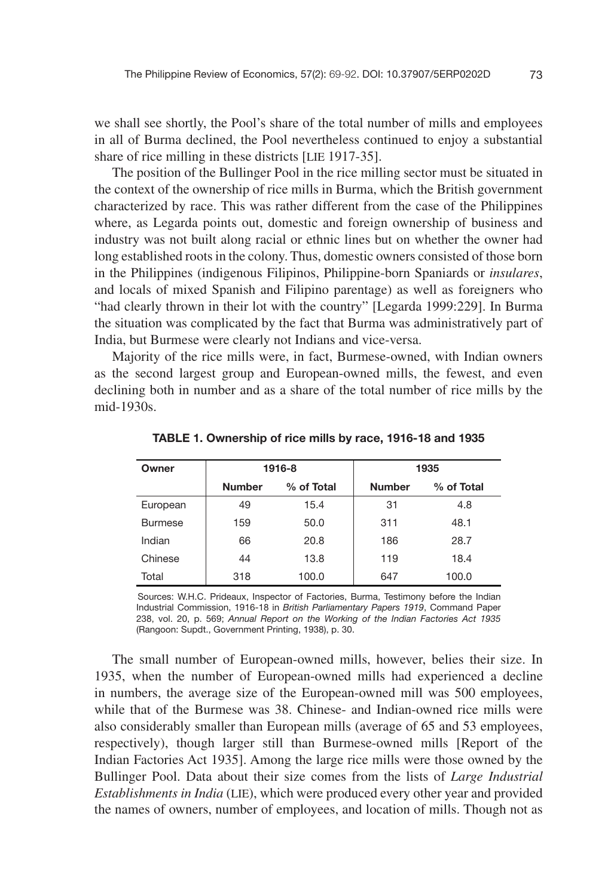we shall see shortly, the Pool's share of the total number of mills and employees in all of Burma declined, the Pool nevertheless continued to enjoy a substantial share of rice milling in these districts [LIE 1917-35].

The position of the Bullinger Pool in the rice milling sector must be situated in the context of the ownership of rice mills in Burma, which the British government characterized by race. This was rather different from the case of the Philippines where, as Legarda points out, domestic and foreign ownership of business and industry was not built along racial or ethnic lines but on whether the owner had long established roots in the colony. Thus, domestic owners consisted of those born in the Philippines (indigenous Filipinos, Philippine-born Spaniards or *insulares*, and locals of mixed Spanish and Filipino parentage) as well as foreigners who "had clearly thrown in their lot with the country" [Legarda 1999:229]. In Burma the situation was complicated by the fact that Burma was administratively part of India, but Burmese were clearly not Indians and vice-versa.

Majority of the rice mills were, in fact, Burmese-owned, with Indian owners as the second largest group and European-owned mills, the fewest, and even declining both in number and as a share of the total number of rice mills by the mid-1930s.

| Owner          | 1916-8        |            |               | 1935       |
|----------------|---------------|------------|---------------|------------|
|                | <b>Number</b> | % of Total | <b>Number</b> | % of Total |
| European       | 49            | 15.4       | 31            | 4.8        |
| <b>Burmese</b> | 159           | 50.0       | 311           | 48.1       |
| Indian         | 66            | 20.8       | 186           | 28.7       |
| Chinese        | 44            | 13.8       | 119           | 18.4       |
| Total          | 318           | 100.0      | 647           | 100.0      |

TABLE 1. Ownership of rice mills by race, 1916-18 and 1935

Sources: W.H.C. Prideaux, Inspector of Factories, Burma, Testimony before the Indian Industrial Commission, 1916-18 in *British Parliamentary Papers 1919*, Command Paper 238, vol. 20, p. 569; *Annual Report on the Working of the Indian Factories Act 1935*  (Rangoon: Supdt., Government Printing, 1938), p. 30.

The small number of European-owned mills, however, belies their size. In 1935, when the number of European-owned mills had experienced a decline in numbers, the average size of the European-owned mill was 500 employees, while that of the Burmese was 38. Chinese- and Indian-owned rice mills were also considerably smaller than European mills (average of 65 and 53 employees, respectively), though larger still than Burmese-owned mills [Report of the Indian Factories Act 1935]. Among the large rice mills were those owned by the Bullinger Pool. Data about their size comes from the lists of *Large Industrial Establishments in India* (LIE), which were produced every other year and provided the names of owners, number of employees, and location of mills. Though not as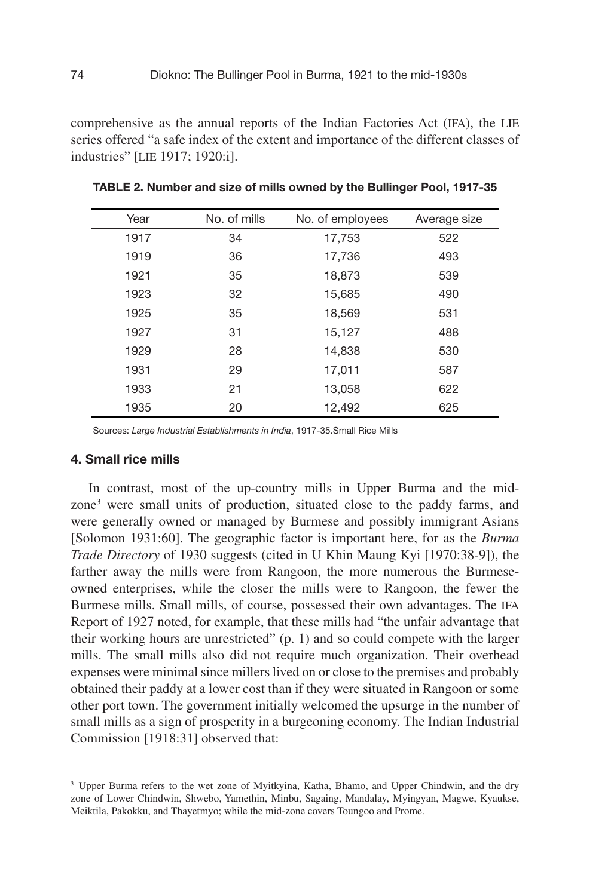comprehensive as the annual reports of the Indian Factories Act (IFA), the LIE series offered "a safe index of the extent and importance of the different classes of industries" [LIE 1917; 1920:i].

| Year | No. of mills | No. of employees | Average size |  |
|------|--------------|------------------|--------------|--|
| 1917 | 34           | 17,753           | 522          |  |
| 1919 | 36           | 17,736           | 493          |  |
| 1921 | 35           | 18,873           | 539          |  |
| 1923 | 32           | 15,685           | 490          |  |
| 1925 | 35           | 18,569           | 531          |  |
| 1927 | 31           | 15,127           | 488          |  |
| 1929 | 28           | 14,838           | 530          |  |
| 1931 | 29           | 17,011           | 587          |  |
| 1933 | 21           | 13,058           | 622          |  |
| 1935 | 20           | 12,492           | 625          |  |

TABLE 2. Number and size of mills owned by the Bullinger Pool, 1917-35

Sources: *Large Industrial Establishments in India*, 1917-35.Small Rice Mills

#### 4. Small rice mills

In contrast, most of the up-country mills in Upper Burma and the midzone<sup>3</sup> were small units of production, situated close to the paddy farms, and were generally owned or managed by Burmese and possibly immigrant Asians [Solomon 1931:60]. The geographic factor is important here, for as the *Burma Trade Directory* of 1930 suggests (cited in U Khin Maung Kyi [1970:38-9]), the farther away the mills were from Rangoon, the more numerous the Burmeseowned enterprises, while the closer the mills were to Rangoon, the fewer the Burmese mills. Small mills, of course, possessed their own advantages. The IFA Report of 1927 noted, for example, that these mills had "the unfair advantage that their working hours are unrestricted" (p. 1) and so could compete with the larger mills. The small mills also did not require much organization. Their overhead expenses were minimal since millers lived on or close to the premises and probably obtained their paddy at a lower cost than if they were situated in Rangoon or some other port town. The government initially welcomed the upsurge in the number of small mills as a sign of prosperity in a burgeoning economy. The Indian Industrial Commission [1918:31] observed that:

<sup>3</sup> Upper Burma refers to the wet zone of Myitkyina, Katha, Bhamo, and Upper Chindwin, and the dry zone of Lower Chindwin, Shwebo, Yamethin, Minbu, Sagaing, Mandalay, Myingyan, Magwe, Kyaukse, Meiktila, Pakokku, and Thayetmyo; while the mid-zone covers Toungoo and Prome.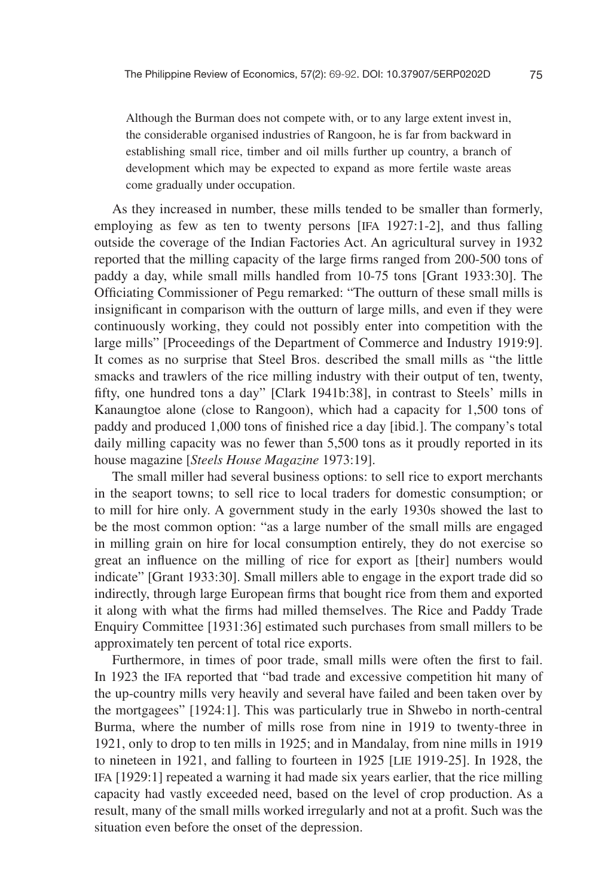Although the Burman does not compete with, or to any large extent invest in, the considerable organised industries of Rangoon, he is far from backward in establishing small rice, timber and oil mills further up country, a branch of development which may be expected to expand as more fertile waste areas come gradually under occupation.

As they increased in number, these mills tended to be smaller than formerly, employing as few as ten to twenty persons [IFA 1927:1-2], and thus falling outside the coverage of the Indian Factories Act. An agricultural survey in 1932 reported that the milling capacity of the large firms ranged from 200-500 tons of paddy a day, while small mills handled from 10-75 tons [Grant 1933:30]. The Officiating Commissioner of Pegu remarked: "The outturn of these small mills is insignificant in comparison with the outturn of large mills, and even if they were continuously working, they could not possibly enter into competition with the large mills" [Proceedings of the Department of Commerce and Industry 1919:9]. It comes as no surprise that Steel Bros. described the small mills as "the little smacks and trawlers of the rice milling industry with their output of ten, twenty, fifty, one hundred tons a day" [Clark 1941b:38], in contrast to Steels' mills in Kanaungtoe alone (close to Rangoon), which had a capacity for 1,500 tons of paddy and produced 1,000 tons of finished rice a day [ibid.]. The company's total daily milling capacity was no fewer than 5,500 tons as it proudly reported in its house magazine [*Steels House Magazine* 1973:19].

The small miller had several business options: to sell rice to export merchants in the seaport towns; to sell rice to local traders for domestic consumption; or to mill for hire only. A government study in the early 1930s showed the last to be the most common option: "as a large number of the small mills are engaged in milling grain on hire for local consumption entirely, they do not exercise so great an influence on the milling of rice for export as [their] numbers would indicate" [Grant 1933:30]. Small millers able to engage in the export trade did so indirectly, through large European firms that bought rice from them and exported it along with what the firms had milled themselves. The Rice and Paddy Trade Enquiry Committee [1931:36] estimated such purchases from small millers to be approximately ten percent of total rice exports.

Furthermore, in times of poor trade, small mills were often the first to fail. In 1923 the IFA reported that "bad trade and excessive competition hit many of the up-country mills very heavily and several have failed and been taken over by the mortgagees" [1924:1]. This was particularly true in Shwebo in north-central Burma, where the number of mills rose from nine in 1919 to twenty-three in 1921, only to drop to ten mills in 1925; and in Mandalay, from nine mills in 1919 to nineteen in 1921, and falling to fourteen in 1925 [LIE 1919-25]. In 1928, the IFA [1929:1] repeated a warning it had made six years earlier, that the rice milling capacity had vastly exceeded need, based on the level of crop production. As a result, many of the small mills worked irregularly and not at a profit. Such was the situation even before the onset of the depression.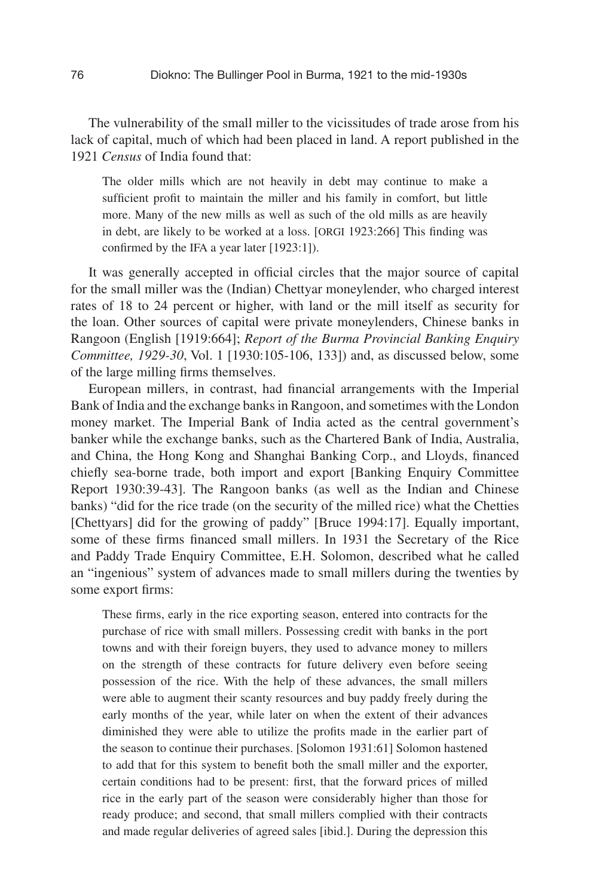The vulnerability of the small miller to the vicissitudes of trade arose from his lack of capital, much of which had been placed in land. A report published in the 1921 *Census* of India found that:

The older mills which are not heavily in debt may continue to make a sufficient profit to maintain the miller and his family in comfort, but little more. Many of the new mills as well as such of the old mills as are heavily in debt, are likely to be worked at a loss. [ORGI 1923:266] This finding was confirmed by the IFA a year later [1923:1]).

It was generally accepted in official circles that the major source of capital for the small miller was the (Indian) Chettyar moneylender, who charged interest rates of 18 to 24 percent or higher, with land or the mill itself as security for the loan. Other sources of capital were private moneylenders, Chinese banks in Rangoon (English [1919:664]; *Report of the Burma Provincial Banking Enquiry Committee, 1929-30*, Vol. 1 [1930:105-106, 133]) and, as discussed below, some of the large milling firms themselves.

European millers, in contrast, had financial arrangements with the Imperial Bank of India and the exchange banks in Rangoon, and sometimes with the London money market. The Imperial Bank of India acted as the central government's banker while the exchange banks, such as the Chartered Bank of India, Australia, and China, the Hong Kong and Shanghai Banking Corp., and Lloyds, financed chiefly sea-borne trade, both import and export [Banking Enquiry Committee] Report 1930:39-43]. The Rangoon banks (as well as the Indian and Chinese banks) "did for the rice trade (on the security of the milled rice) what the Chetties [Chettyars] did for the growing of paddy" [Bruce 1994:17]. Equally important, some of these firms financed small millers. In 1931 the Secretary of the Rice and Paddy Trade Enquiry Committee, E.H. Solomon, described what he called an "ingenious" system of advances made to small millers during the twenties by some export firms:

These firms, early in the rice exporting season, entered into contracts for the purchase of rice with small millers. Possessing credit with banks in the port towns and with their foreign buyers, they used to advance money to millers on the strength of these contracts for future delivery even before seeing possession of the rice. With the help of these advances, the small millers were able to augment their scanty resources and buy paddy freely during the early months of the year, while later on when the extent of their advances diminished they were able to utilize the profits made in the earlier part of the season to continue their purchases. [Solomon 1931:61] Solomon hastened to add that for this system to benefit both the small miller and the exporter, certain conditions had to be present: first, that the forward prices of milled rice in the early part of the season were considerably higher than those for ready produce; and second, that small millers complied with their contracts and made regular deliveries of agreed sales [ibid.]. During the depression this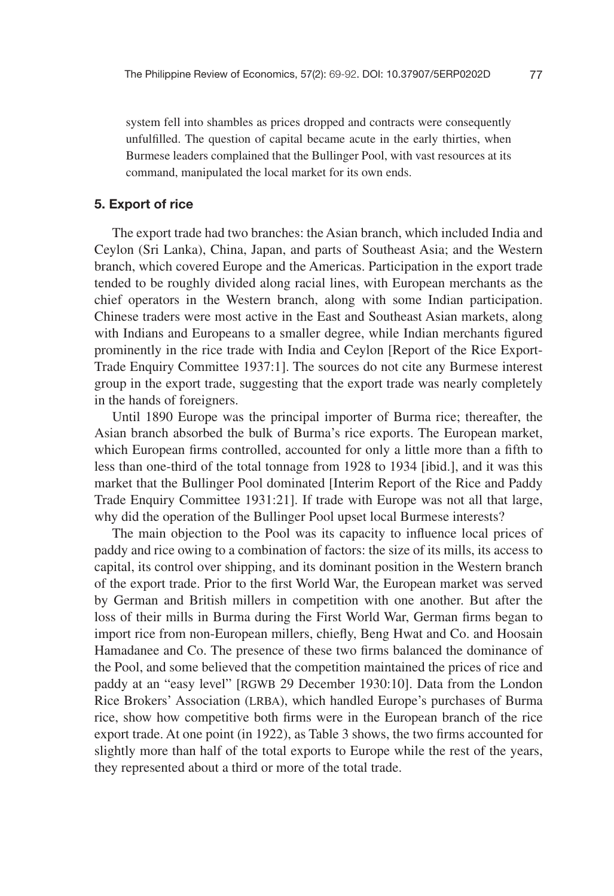system fell into shambles as prices dropped and contracts were consequently unful filled. The question of capital became acute in the early thirties, when Burmese leaders complained that the Bullinger Pool, with vast resources at its command, manipulated the local market for its own ends.

#### 5. Export of rice

The export trade had two branches: the Asian branch, which included India and Ceylon (Sri Lanka), China, Japan, and parts of Southeast Asia; and the Western branch, which covered Europe and the Americas. Participation in the export trade tended to be roughly divided along racial lines, with European merchants as the chief operators in the Western branch, along with some Indian participation. Chinese traders were most active in the East and Southeast Asian markets, along with Indians and Europeans to a smaller degree, while Indian merchants figured prominently in the rice trade with India and Ceylon [Report of the Rice Export-Trade Enquiry Committee 1937:1]. The sources do not cite any Burmese interest group in the export trade, suggesting that the export trade was nearly completely in the hands of foreigners.

Until 1890 Europe was the principal importer of Burma rice; thereafter, the Asian branch absorbed the bulk of Burma's rice exports. The European market, which European firms controlled, accounted for only a little more than a fifth to less than one-third of the total tonnage from 1928 to 1934 [ibid.], and it was this market that the Bullinger Pool dominated [Interim Report of the Rice and Paddy Trade Enquiry Committee 1931:21]. If trade with Europe was not all that large, why did the operation of the Bullinger Pool upset local Burmese interests?

The main objection to the Pool was its capacity to influence local prices of paddy and rice owing to a combination of factors: the size of its mills, its access to capital, its control over shipping, and its dominant position in the Western branch of the export trade. Prior to the first World War, the European market was served by German and British millers in competition with one another. But after the loss of their mills in Burma during the First World War, German firms began to import rice from non-European millers, chiefly, Beng Hwat and Co. and Hoosain Hamadanee and Co. The presence of these two firms balanced the dominance of the Pool, and some believed that the competition maintained the prices of rice and paddy at an "easy level" [RGWB 29 December 1930:10]. Data from the London Rice Brokers' Association (LRBA), which handled Europe's purchases of Burma rice, show how competitive both firms were in the European branch of the rice export trade. At one point (in  $1922$ ), as Table 3 shows, the two firms accounted for slightly more than half of the total exports to Europe while the rest of the years, they represented about a third or more of the total trade.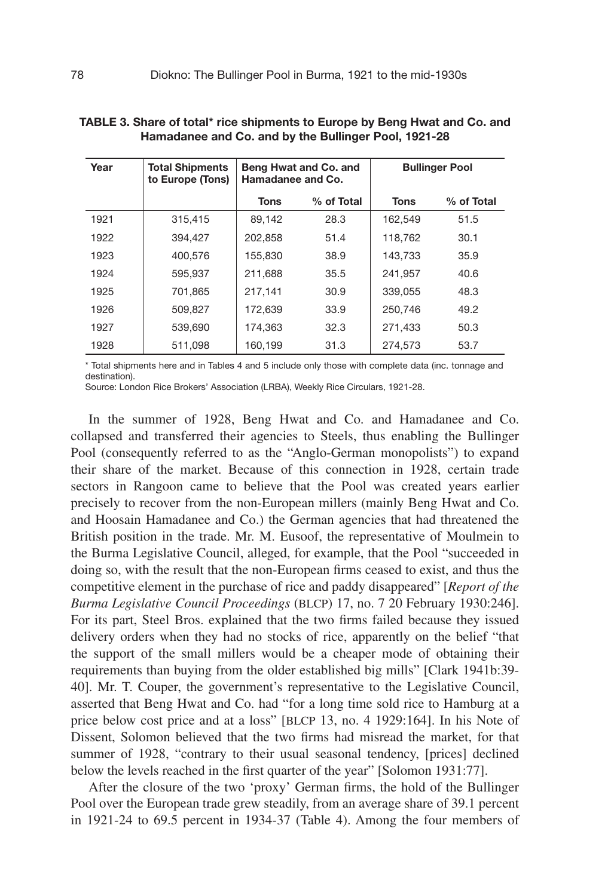| Year | <b>Total Shipments</b><br>to Europe (Tons) | Beng Hwat and Co. and<br>Hamadanee and Co. |            | <b>Bullinger Pool</b> |            |
|------|--------------------------------------------|--------------------------------------------|------------|-----------------------|------------|
|      |                                            | Tons                                       | % of Total | Tons                  | % of Total |
| 1921 | 315.415                                    | 89.142                                     | 28.3       | 162,549               | 51.5       |
| 1922 | 394.427                                    | 202.858                                    | 51.4       | 118,762               | 30.1       |
| 1923 | 400.576                                    | 155.830                                    | 38.9       | 143,733               | 35.9       |
| 1924 | 595.937                                    | 211.688                                    | 35.5       | 241,957               | 40.6       |
| 1925 | 701.865                                    | 217.141                                    | 30.9       | 339.055               | 48.3       |
| 1926 | 509.827                                    | 172.639                                    | 33.9       | 250.746               | 49.2       |
| 1927 | 539.690                                    | 174.363                                    | 32.3       | 271,433               | 50.3       |
| 1928 | 511,098                                    | 160,199                                    | 31.3       | 274,573               | 53.7       |

TABLE 3. Share of total\* rice shipments to Europe by Beng Hwat and Co. and Hamadanee and Co. and by the Bullinger Pool, 1921-28

\* Total shipments here and in Tables 4 and 5 include only those with complete data (inc. tonnage and destination).

Source: London Rice Brokers' Association (LRBA), Weekly Rice Circulars, 1921-28.

In the summer of 1928, Beng Hwat and Co. and Hamadanee and Co. collapsed and transferred their agencies to Steels, thus enabling the Bullinger Pool (consequently referred to as the "Anglo-German monopolists") to expand their share of the market. Because of this connection in 1928, certain trade sectors in Rangoon came to believe that the Pool was created years earlier precisely to recover from the non-European millers (mainly Beng Hwat and Co. and Hoosain Hamadanee and Co.) the German agencies that had threatened the British position in the trade. Mr. M. Eusoof, the representative of Moulmein to the Burma Legislative Council, alleged, for example, that the Pool "succeeded in doing so, with the result that the non-European firms ceased to exist, and thus the competitive element in the purchase of rice and paddy disappeared" [*Report of the Burma Legislative Council Proceedings* (BLCP) 17, no. 7 20 February 1930:246]. For its part, Steel Bros. explained that the two firms failed because they issued delivery orders when they had no stocks of rice, apparently on the belief "that the support of the small millers would be a cheaper mode of obtaining their requirements than buying from the older established big mills" [Clark 1941b:39- 40]. Mr. T. Couper, the government's representative to the Legislative Council, asserted that Beng Hwat and Co. had "for a long time sold rice to Hamburg at a price below cost price and at a loss" [BLCP 13, no. 4 1929:164]. In his Note of Dissent, Solomon believed that the two firms had misread the market, for that summer of 1928, "contrary to their usual seasonal tendency, [prices] declined below the levels reached in the first quarter of the year" [Solomon 1931:77].

After the closure of the two 'proxy' German firms, the hold of the Bullinger Pool over the European trade grew steadily, from an average share of 39.1 percent in 1921-24 to 69.5 percent in 1934-37 (Table 4). Among the four members of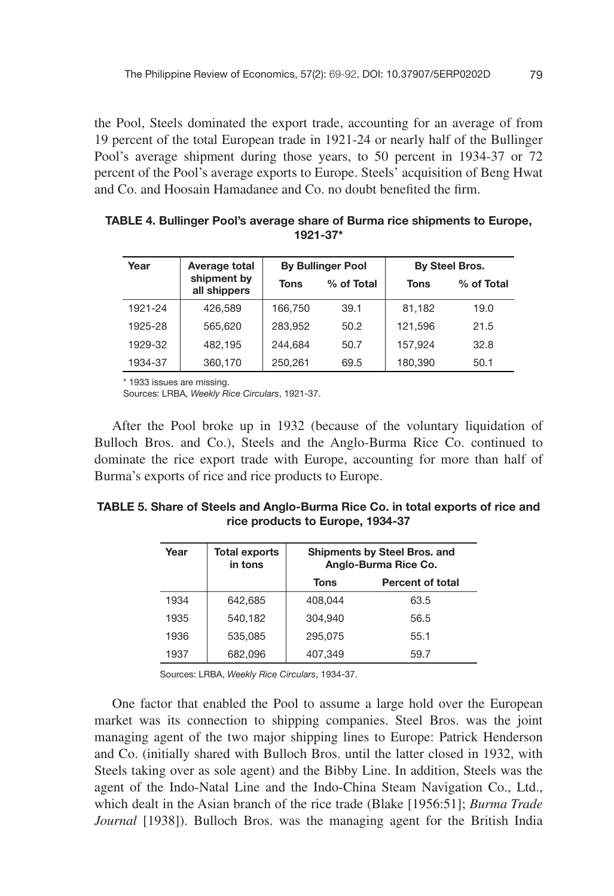the Pool, Steels dominated the export trade, accounting for an average of from 19 percent of the total European trade in 1921-24 or nearly half of the Bullinger Pool's average shipment during those years, to 50 percent in 1934-37 or 72 percent of the Pool's average exports to Europe. Steels' acquisition of Beng Hwat and Co. and Hoosain Hamadanee and Co. no doubt benefited the firm.

| Year    | Average total               | <b>By Bullinger Pool</b> |            | By Steel Bros. |            |  |
|---------|-----------------------------|--------------------------|------------|----------------|------------|--|
|         | shipment by<br>all shippers | Tons                     | % of Total | Tons           | % of Total |  |
| 1921-24 | 426.589                     | 166.750                  | 39.1       | 81,182         | 19.0       |  |
| 1925-28 | 565.620                     | 283.952                  | 50.2       | 121.596        | 21.5       |  |
| 1929-32 | 482.195                     | 244.684                  | 50.7       | 157.924        | 32.8       |  |
| 1934-37 | 360.170                     | 250,261                  | 69.5       | 180,390        | 50.1       |  |

TABLE 4. Bullinger Pool's average share of Burma rice shipments to Europe, 1921-37\*

\* 1933 issues are missing.

Sources: LRBA, *Weekly Rice Circulars*, 1921-37.

After the Pool broke up in 1932 (because of the voluntary liquidation of Bulloch Bros. and Co.), Steels and the Anglo-Burma Rice Co. continued to dominate the rice export trade with Europe, accounting for more than half of Burma's exports of rice and rice products to Europe.

| TABLE 5. Share of Steels and Anglo-Burma Rice Co. in total exports of rice and |
|--------------------------------------------------------------------------------|
| rice products to Europe, 1934-37                                               |

| Year | <b>Total exports</b><br>in tons | Shipments by Steel Bros. and<br>Anglo-Burma Rice Co. |                         |
|------|---------------------------------|------------------------------------------------------|-------------------------|
|      |                                 | Tons                                                 | <b>Percent of total</b> |
| 1934 | 642.685                         | 408.044                                              | 63.5                    |
| 1935 | 540.182                         | 304.940                                              | 56.5                    |
| 1936 | 535.085                         | 295.075                                              | 55.1                    |
| 1937 | 682.096                         | 407.349                                              | 59.7                    |

Sources: LRBA, *Weekly Rice Circulars*, 1934-37.

One factor that enabled the Pool to assume a large hold over the European market was its connection to shipping companies. Steel Bros. was the joint managing agent of the two major shipping lines to Europe: Patrick Henderson and Co. (initially shared with Bulloch Bros. until the latter closed in 1932, with Steels taking over as sole agent) and the Bibby Line. In addition, Steels was the agent of the Indo-Natal Line and the Indo-China Steam Navigation Co., Ltd., which dealt in the Asian branch of the rice trade (Blake [1956:51]; *Burma Trade Journal* [1938]). Bulloch Bros. was the managing agent for the British India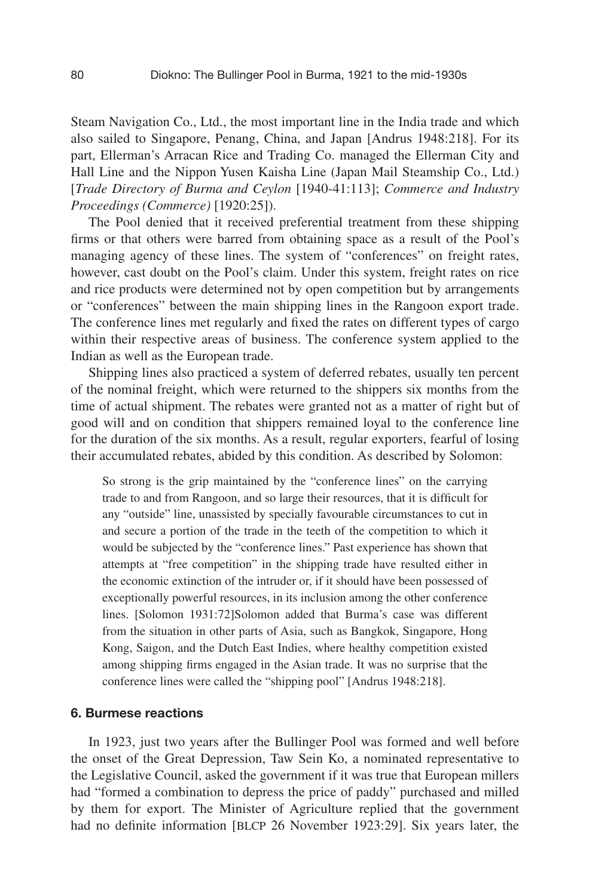Steam Navigation Co., Ltd., the most important line in the India trade and which also sailed to Singapore, Penang, China, and Japan [Andrus 1948:218]. For its part, Ellerman's Arracan Rice and Trading Co. managed the Ellerman City and Hall Line and the Nippon Yusen Kaisha Line (Japan Mail Steamship Co., Ltd.) [*Trade Directory of Burma and Ceylon* [1940-41:113]; *Commerce and Industry Proceedings (Commerce)* [1920:25]).

The Pool denied that it received preferential treatment from these shipping firms or that others were barred from obtaining space as a result of the Pool's managing agency of these lines. The system of "conferences" on freight rates, however, cast doubt on the Pool's claim. Under this system, freight rates on rice and rice products were determined not by open competition but by arrangements or "conferences" between the main shipping lines in the Rangoon export trade. The conference lines met regularly and fixed the rates on different types of cargo within their respective areas of business. The conference system applied to the Indian as well as the European trade.

Shipping lines also practiced a system of deferred rebates, usually ten percent of the nominal freight, which were returned to the shippers six months from the time of actual shipment. The rebates were granted not as a matter of right but of good will and on condition that shippers remained loyal to the conference line for the duration of the six months. As a result, regular exporters, fearful of losing their accumulated rebates, abided by this condition. As described by Solomon:

So strong is the grip maintained by the "conference lines" on the carrying trade to and from Rangoon, and so large their resources, that it is difficult for any "outside" line, unassisted by specially favourable circumstances to cut in and secure a portion of the trade in the teeth of the competition to which it would be subjected by the "conference lines." Past experience has shown that attempts at "free competition" in the shipping trade have resulted either in the economic extinction of the intruder or, if it should have been possessed of exceptionally powerful resources, in its inclusion among the other conference lines. [Solomon 1931:72]Solomon added that Burma's case was different from the situation in other parts of Asia, such as Bangkok, Singapore, Hong Kong, Saigon, and the Dutch East Indies, where healthy competition existed among shipping firms engaged in the Asian trade. It was no surprise that the conference lines were called the "shipping pool" [Andrus 1948:218].

#### 6. Burmese reactions

In 1923, just two years after the Bullinger Pool was formed and well before the onset of the Great Depression, Taw Sein Ko, a nominated representative to the Legislative Council, asked the government if it was true that European millers had "formed a combination to depress the price of paddy" purchased and milled by them for export. The Minister of Agriculture replied that the government had no definite information [BLCP 26 November 1923:29]. Six years later, the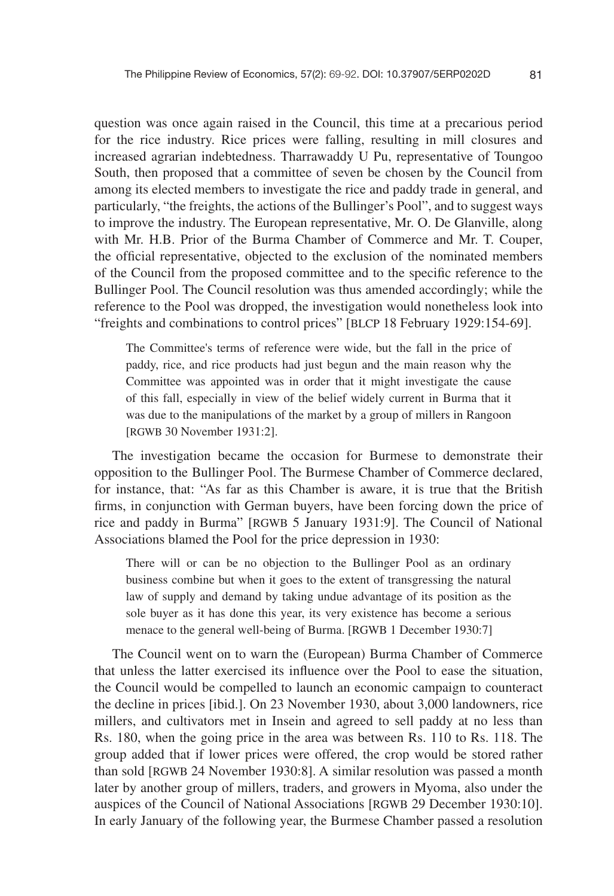question was once again raised in the Council, this time at a precarious period for the rice industry. Rice prices were falling, resulting in mill closures and increased agrarian indebtedness. Tharrawaddy U Pu, representative of Toungoo South, then proposed that a committee of seven be chosen by the Council from among its elected members to investigate the rice and paddy trade in general, and particularly, "the freights, the actions of the Bullinger's Pool", and to suggest ways to improve the industry. The European representative, Mr. O. De Glanville, along with Mr. H.B. Prior of the Burma Chamber of Commerce and Mr. T. Couper, the official representative, objected to the exclusion of the nominated members of the Council from the proposed committee and to the specific reference to the Bullinger Pool. The Council resolution was thus amended accordingly; while the reference to the Pool was dropped, the investigation would nonetheless look into "freights and combinations to control prices" [BLCP 18 February 1929:154-69].

The Committee's terms of reference were wide, but the fall in the price of paddy, rice, and rice products had just begun and the main reason why the Committee was appointed was in order that it might investigate the cause of this fall, especially in view of the belief widely current in Burma that it was due to the manipulations of the market by a group of millers in Rangoon [RGWB 30 November 1931:2].

The investigation became the occasion for Burmese to demonstrate their opposition to the Bullinger Pool. The Burmese Chamber of Commerce declared, for instance, that: "As far as this Chamber is aware, it is true that the British firms, in conjunction with German buyers, have been forcing down the price of rice and paddy in Burma" [RGWB 5 January 1931:9]. The Council of National Associations blamed the Pool for the price depression in 1930:

There will or can be no objection to the Bullinger Pool as an ordinary business combine but when it goes to the extent of transgressing the natural law of supply and demand by taking undue advantage of its position as the sole buyer as it has done this year, its very existence has become a serious menace to the general well-being of Burma. [RGWB 1 December 1930:7]

The Council went on to warn the (European) Burma Chamber of Commerce that unless the latter exercised its influence over the Pool to ease the situation, the Council would be compelled to launch an economic campaign to counteract the decline in prices [ibid.]. On 23 November 1930, about 3,000 landowners, rice millers, and cultivators met in Insein and agreed to sell paddy at no less than Rs. 180, when the going price in the area was between Rs. 110 to Rs. 118. The group added that if lower prices were offered, the crop would be stored rather than sold [RGWB 24 November 1930:8]. A similar resolution was passed a month later by another group of millers, traders, and growers in Myoma, also under the auspices of the Council of National Associations [RGWB 29 December 1930:10]. In early January of the following year, the Burmese Chamber passed a resolution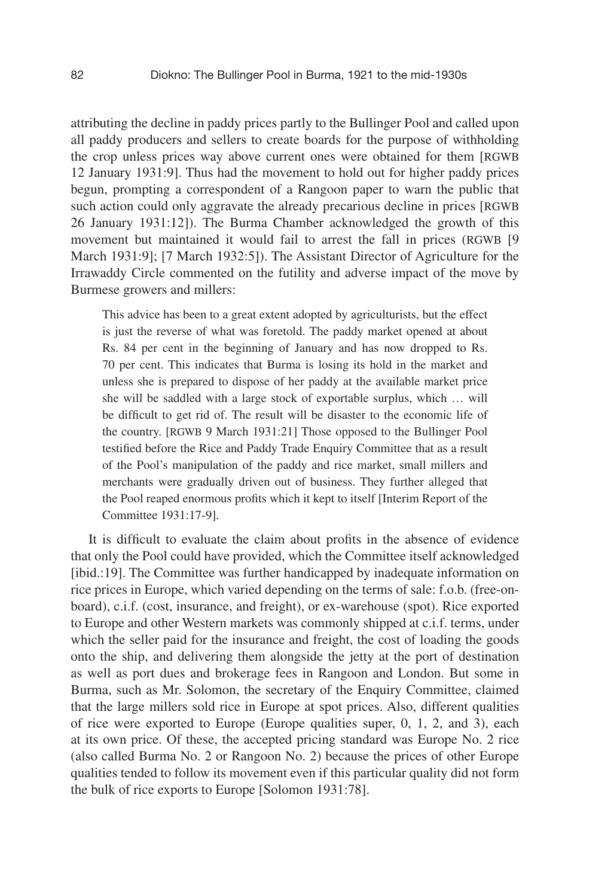attributing the decline in paddy prices partly to the Bullinger Pool and called upon all paddy producers and sellers to create boards for the purpose of withholding the crop unless prices way above current ones were obtained for them [RGWB 12 January 1931:9]. Thus had the movement to hold out for higher paddy prices begun, prompting a correspondent of a Rangoon paper to warn the public that such action could only aggravate the already precarious decline in prices [RGWB 26 January 1931:12]). The Burma Chamber acknowledged the growth of this movement but maintained it would fail to arrest the fall in prices (RGWB [9 March 1931:9]; [7 March 1932:5]). The Assistant Director of Agriculture for the Irrawaddy Circle commented on the futility and adverse impact of the move by Burmese growers and millers:

This advice has been to a great extent adopted by agriculturists, but the effect is just the reverse of what was foretold. The paddy market opened at about Rs. 84 per cent in the beginning of January and has now dropped to Rs. 70 per cent. This indicates that Burma is losing its hold in the market and unless she is prepared to dispose of her paddy at the available market price she will be saddled with a large stock of exportable surplus, which … will be difficult to get rid of. The result will be disaster to the economic life of the country. [RGWB 9 March 1931:21] Those opposed to the Bullinger Pool testified before the Rice and Paddy Trade Enquiry Committee that as a result of the Pool's manipulation of the paddy and rice market, small millers and merchants were gradually driven out of business. They further alleged that the Pool reaped enormous profits which it kept to itself [Interim Report of the Committee 1931:17-9].

It is difficult to evaluate the claim about profits in the absence of evidence that only the Pool could have provided, which the Committee itself acknowledged [ibid.:19]. The Committee was further handicapped by inadequate information on rice prices in Europe, which varied depending on the terms of sale: f.o.b. (free-onboard), c.i.f. (cost, insurance, and freight), or ex-warehouse (spot). Rice exported to Europe and other Western markets was commonly shipped at c.i.f. terms, under which the seller paid for the insurance and freight, the cost of loading the goods onto the ship, and delivering them alongside the jetty at the port of destination as well as port dues and brokerage fees in Rangoon and London. But some in Burma, such as Mr. Solomon, the secretary of the Enquiry Committee, claimed that the large millers sold rice in Europe at spot prices. Also, different qualities of rice were exported to Europe (Europe qualities super, 0, 1, 2, and 3), each at its own price. Of these, the accepted pricing standard was Europe No. 2 rice (also called Burma No. 2 or Rangoon No. 2) because the prices of other Europe qualities tended to follow its movement even if this particular quality did not form the bulk of rice exports to Europe [Solomon 1931:78].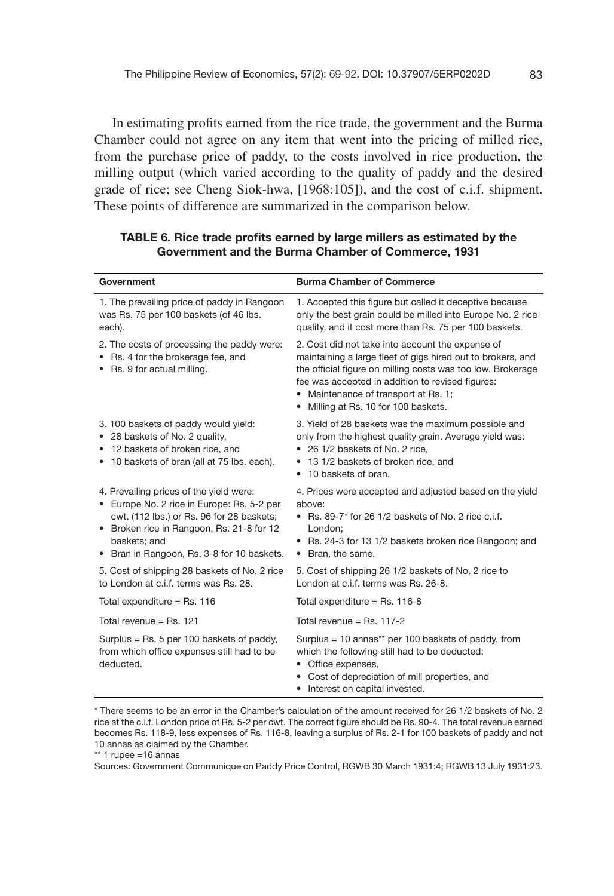In estimating profits earned from the rice trade, the government and the Burma Chamber could not agree on any item that went into the pricing of milled rice, from the purchase price of paddy, to the costs involved in rice production, the milling output (which varied according to the quality of paddy and the desired grade of rice; see Cheng Siok-hwa, [1968:105]), and the cost of c.i.f. shipment. These points of difference are summarized in the comparison below.

| Government                                                                                                                                                                                                                                    | <b>Burma Chamber of Commerce</b>                                                                                                                                                                                                                                                                                   |
|-----------------------------------------------------------------------------------------------------------------------------------------------------------------------------------------------------------------------------------------------|--------------------------------------------------------------------------------------------------------------------------------------------------------------------------------------------------------------------------------------------------------------------------------------------------------------------|
| 1. The prevailing price of paddy in Rangoon<br>was Rs. 75 per 100 baskets (of 46 lbs.<br>each).                                                                                                                                               | 1. Accepted this figure but called it deceptive because<br>only the best grain could be milled into Europe No. 2 rice<br>quality, and it cost more than Rs. 75 per 100 baskets.                                                                                                                                    |
| 2. The costs of processing the paddy were:<br>• Rs. 4 for the brokerage fee, and<br>• Rs. 9 for actual milling.                                                                                                                               | 2. Cost did not take into account the expense of<br>maintaining a large fleet of gigs hired out to brokers, and<br>the official figure on milling costs was too low. Brokerage<br>fee was accepted in addition to revised figures:<br>• Maintenance of transport at Rs. 1;<br>• Milling at Rs. 10 for 100 baskets. |
| 3.100 baskets of paddy would yield:<br>• 28 baskets of No. 2 quality,<br>• 12 baskets of broken rice, and<br>• 10 baskets of bran (all at 75 lbs. each).                                                                                      | 3. Yield of 28 baskets was the maximum possible and<br>only from the highest quality grain. Average yield was:<br>• 26 1/2 baskets of No. 2 rice,<br>13 1/2 baskets of broken rice, and<br>10 baskets of bran.<br>٠                                                                                                |
| 4. Prevailing prices of the yield were:<br>• Europe No. 2 rice in Europe: Rs. 5-2 per<br>cwt. (112 lbs.) or Rs. 96 for 28 baskets;<br>• Broken rice in Rangoon, Rs. 21-8 for 12<br>baskets: and<br>• Bran in Rangoon, Rs. 3-8 for 10 baskets. | 4. Prices were accepted and adjusted based on the yield<br>above:<br>• Rs. 89-7* for 26 1/2 baskets of No. 2 rice c.i.f.<br>London:<br>• Rs. 24-3 for 13 1/2 baskets broken rice Rangoon; and<br>• Bran, the same.                                                                                                 |
| 5. Cost of shipping 28 baskets of No. 2 rice<br>to London at c.i.f. terms was Rs. 28.                                                                                                                                                         | 5. Cost of shipping 26 1/2 baskets of No. 2 rice to<br>London at c.i.f. terms was Rs. 26-8.                                                                                                                                                                                                                        |
| Total expenditure = $Rs. 116$                                                                                                                                                                                                                 | Total expenditure = $Rs. 116-8$                                                                                                                                                                                                                                                                                    |
| Total revenue = $Rs. 121$                                                                                                                                                                                                                     | Total revenue = $Rs. 117-2$                                                                                                                                                                                                                                                                                        |
| Surplus = Rs. 5 per 100 baskets of paddy,<br>from which office expenses still had to be<br>deducted.                                                                                                                                          | Surplus = 10 annas** per 100 baskets of paddy, from<br>which the following still had to be deducted:<br>Office expenses,<br>Cost of depreciation of mill properties, and<br>• Interest on capital invested.                                                                                                        |

#### TABLE 6. Rice trade profits earned by large millers as estimated by the Government and the Burma Chamber of Commerce, 1931

\*\* 1 rupee =16 annas

Sources: Government Communique on Paddy Price Control, RGWB 30 March 1931:4; RGWB 13 July 1931:23.

<sup>\*</sup> There seems to be an error in the Chamber's calculation of the amount received for 26 1/2 baskets of No. 2 rice at the c.i.f. London price of Rs. 5-2 per cwt. The correct figure should be Rs. 90-4. The total revenue earned becomes Rs. 118-9, less expenses of Rs. 116-8, leaving a surplus of Rs. 2-1 for 100 baskets of paddy and not 10 annas as claimed by the Chamber.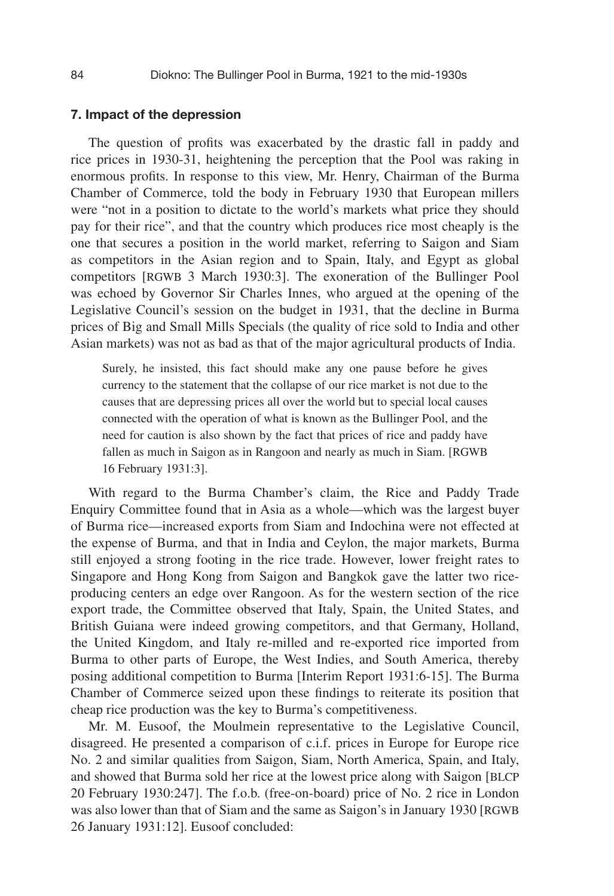#### 7. Impact of the depression

The question of profits was exacerbated by the drastic fall in paddy and rice prices in 1930-31, heightening the perception that the Pool was raking in enormous profits. In response to this view, Mr. Henry, Chairman of the Burma Chamber of Commerce, told the body in February 1930 that European millers were "not in a position to dictate to the world's markets what price they should pay for their rice", and that the country which produces rice most cheaply is the one that secures a position in the world market, referring to Saigon and Siam as competitors in the Asian region and to Spain, Italy, and Egypt as global competitors [RGWB 3 March 1930:3]. The exoneration of the Bullinger Pool was echoed by Governor Sir Charles Innes, who argued at the opening of the Legislative Council's session on the budget in 1931, that the decline in Burma prices of Big and Small Mills Specials (the quality of rice sold to India and other Asian markets) was not as bad as that of the major agricultural products of India.

Surely, he insisted, this fact should make any one pause before he gives currency to the statement that the collapse of our rice market is not due to the causes that are depressing prices all over the world but to special local causes connected with the operation of what is known as the Bullinger Pool, and the need for caution is also shown by the fact that prices of rice and paddy have fallen as much in Saigon as in Rangoon and nearly as much in Siam. [RGWB 16 February 1931:3].

With regard to the Burma Chamber's claim, the Rice and Paddy Trade Enquiry Committee found that in Asia as a whole—which was the largest buyer of Burma rice—increased exports from Siam and Indochina were not effected at the expense of Burma, and that in India and Ceylon, the major markets, Burma still enjoyed a strong footing in the rice trade. However, lower freight rates to Singapore and Hong Kong from Saigon and Bangkok gave the latter two riceproducing centers an edge over Rangoon. As for the western section of the rice export trade, the Committee observed that Italy, Spain, the United States, and British Guiana were indeed growing competitors, and that Germany, Holland, the United Kingdom, and Italy re-milled and re-exported rice imported from Burma to other parts of Europe, the West Indies, and South America, thereby posing additional competition to Burma [Interim Report 1931:6-15]. The Burma Chamber of Commerce seized upon these findings to reiterate its position that cheap rice production was the key to Burma's competitiveness.

Mr. M. Eusoof, the Moulmein representative to the Legislative Council, disagreed. He presented a comparison of c.i.f. prices in Europe for Europe rice No. 2 and similar qualities from Saigon, Siam, North America, Spain, and Italy, and showed that Burma sold her rice at the lowest price along with Saigon [BLCP 20 February 1930:247]. The f.o.b. (free-on-board) price of No. 2 rice in London was also lower than that of Siam and the same as Saigon's in January 1930 [RGWB 26 January 1931:12]. Eusoof concluded: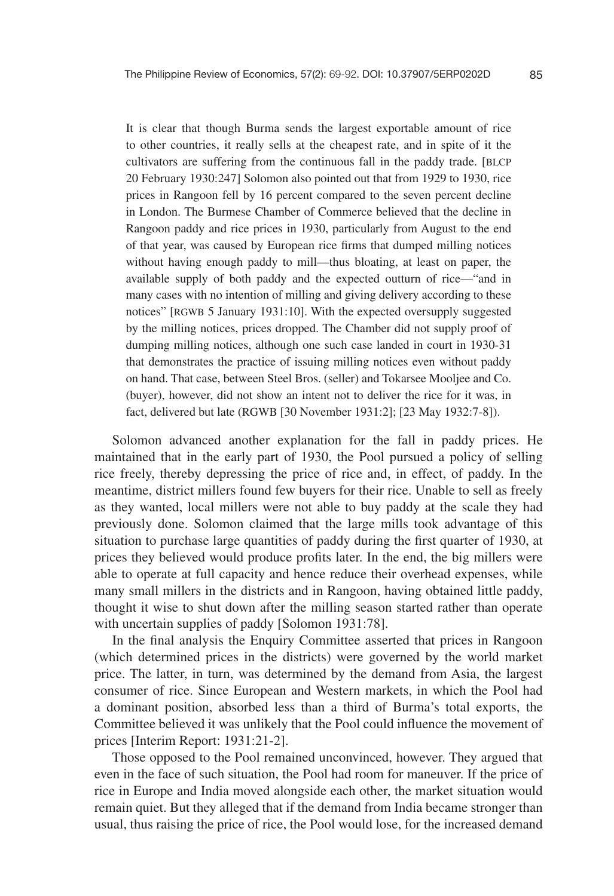It is clear that though Burma sends the largest exportable amount of rice to other countries, it really sells at the cheapest rate, and in spite of it the cultivators are suffering from the continuous fall in the paddy trade. [BLCP 20 February 1930:247] Solomon also pointed out that from 1929 to 1930, rice prices in Rangoon fell by 16 percent compared to the seven percent decline in London. The Burmese Chamber of Commerce believed that the decline in Rangoon paddy and rice prices in 1930, particularly from August to the end of that year, was caused by European rice firms that dumped milling notices without having enough paddy to mill—thus bloating, at least on paper, the available supply of both paddy and the expected outturn of rice—"and in many cases with no intention of milling and giving delivery according to these notices" [RGWB 5 January 1931:10]. With the expected oversupply suggested by the milling notices, prices dropped. The Chamber did not supply proof of dumping milling notices, although one such case landed in court in 1930-31 that demonstrates the practice of issuing milling notices even without paddy on hand. That case, between Steel Bros. (seller) and Tokarsee Mooljee and Co. (buyer), however, did not show an intent not to deliver the rice for it was, in fact, delivered but late (RGWB [30 November 1931:2]; [23 May 1932:7-8]).

Solomon advanced another explanation for the fall in paddy prices. He maintained that in the early part of 1930, the Pool pursued a policy of selling rice freely, thereby depressing the price of rice and, in effect, of paddy. In the meantime, district millers found few buyers for their rice. Unable to sell as freely as they wanted, local millers were not able to buy paddy at the scale they had previously done. Solomon claimed that the large mills took advantage of this situation to purchase large quantities of paddy during the first quarter of 1930, at prices they believed would produce profits later. In the end, the big millers were able to operate at full capacity and hence reduce their overhead expenses, while many small millers in the districts and in Rangoon, having obtained little paddy, thought it wise to shut down after the milling season started rather than operate with uncertain supplies of paddy [Solomon 1931:78].

In the final analysis the Enquiry Committee asserted that prices in Rangoon (which determined prices in the districts) were governed by the world market price. The latter, in turn, was determined by the demand from Asia, the largest consumer of rice. Since European and Western markets, in which the Pool had a dominant position, absorbed less than a third of Burma's total exports, the Committee believed it was unlikely that the Pool could influence the movement of prices [Interim Report: 1931:21-2].

Those opposed to the Pool remained unconvinced, however. They argued that even in the face of such situation, the Pool had room for maneuver. If the price of rice in Europe and India moved alongside each other, the market situation would remain quiet. But they alleged that if the demand from India became stronger than usual, thus raising the price of rice, the Pool would lose, for the increased demand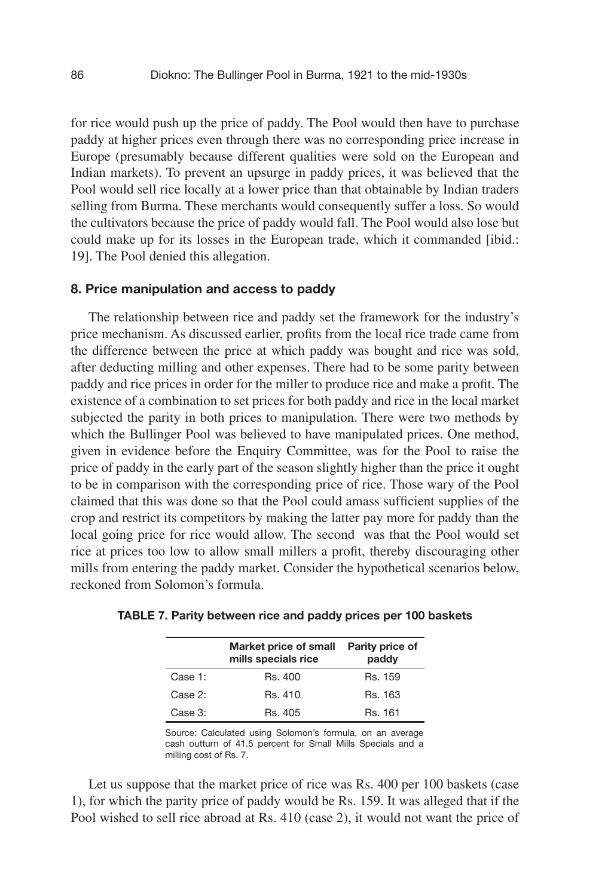for rice would push up the price of paddy. The Pool would then have to purchase paddy at higher prices even through there was no corresponding price increase in Europe (presumably because different qualities were sold on the European and Indian markets). To prevent an upsurge in paddy prices, it was believed that the Pool would sell rice locally at a lower price than that obtainable by Indian traders selling from Burma. These merchants would consequently suffer a loss. So would the cultivators because the price of paddy would fall. The Pool would also lose but could make up for its losses in the European trade, which it commanded [ibid.: 19]. The Pool denied this allegation.

#### 8. Price manipulation and access to paddy

The relationship between rice and paddy set the framework for the industry's price mechanism. As discussed earlier, profits from the local rice trade came from the difference between the price at which paddy was bought and rice was sold, after deducting milling and other expenses. There had to be some parity between paddy and rice prices in order for the miller to produce rice and make a profit. The existence of a combination to set prices for both paddy and rice in the local market subjected the parity in both prices to manipulation. There were two methods by which the Bullinger Pool was believed to have manipulated prices. One method, given in evidence before the Enquiry Committee, was for the Pool to raise the price of paddy in the early part of the season slightly higher than the price it ought to be in comparison with the corresponding price of rice. Those wary of the Pool claimed that this was done so that the Pool could amass sufficient supplies of the crop and restrict its competitors by making the latter pay more for paddy than the local going price for rice would allow. The second was that the Pool would set rice at prices too low to allow small millers a profit, thereby discouraging other mills from entering the paddy market. Consider the hypothetical scenarios below, reckoned from Solomon's formula.

|         | Market price of small<br>mills specials rice | Parity price of<br>paddy |
|---------|----------------------------------------------|--------------------------|
| Case 1: | Rs. 400                                      | Rs. 159                  |
| Case 2: | Rs. 410                                      | Rs. 163                  |
| Case 3: | Rs. 405                                      | Rs. 161                  |

| TABLE 7. Parity between rice and paddy prices per 100 baskets |  |  |  |
|---------------------------------------------------------------|--|--|--|
|---------------------------------------------------------------|--|--|--|

Source: Calculated using Solomon's formula, on an average cash outturn of 41.5 percent for Small Mills Specials and a milling cost of Rs. 7.

Let us suppose that the market price of rice was Rs. 400 per 100 baskets (case 1), for which the parity price of paddy would be Rs. 159. It was alleged that if the Pool wished to sell rice abroad at Rs. 410 (case 2), it would not want the price of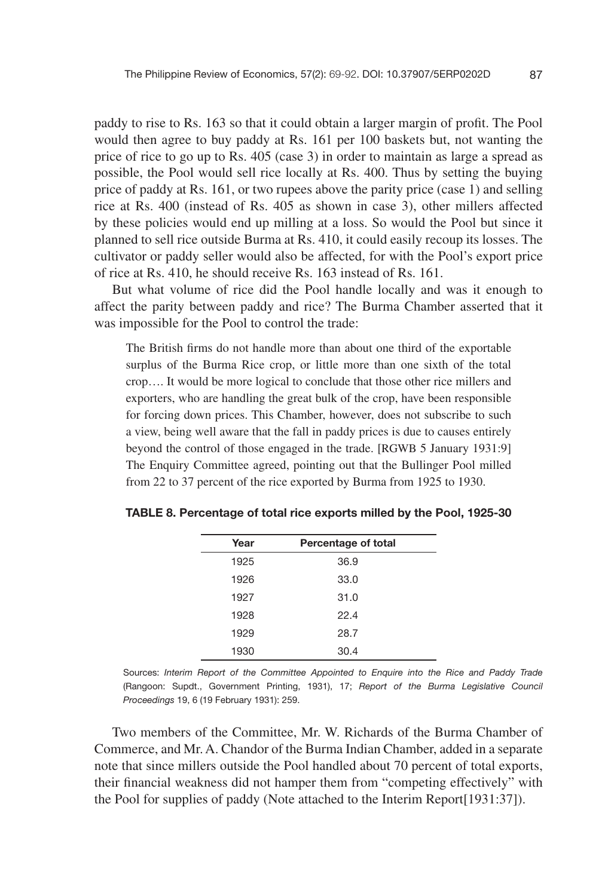paddy to rise to Rs. 163 so that it could obtain a larger margin of profit. The Pool would then agree to buy paddy at Rs. 161 per 100 baskets but, not wanting the price of rice to go up to Rs. 405 (case 3) in order to maintain as large a spread as possible, the Pool would sell rice locally at Rs. 400. Thus by setting the buying price of paddy at Rs. 161, or two rupees above the parity price (case 1) and selling rice at Rs. 400 (instead of Rs. 405 as shown in case 3), other millers affected by these policies would end up milling at a loss. So would the Pool but since it planned to sell rice outside Burma at Rs. 410, it could easily recoup its losses. The cultivator or paddy seller would also be affected, for with the Pool's export price of rice at Rs. 410, he should receive Rs. 163 instead of Rs. 161.

But what volume of rice did the Pool handle locally and was it enough to affect the parity between paddy and rice? The Burma Chamber asserted that it was impossible for the Pool to control the trade:

The British firms do not handle more than about one third of the exportable surplus of the Burma Rice crop, or little more than one sixth of the total crop…. It would be more logical to conclude that those other rice millers and exporters, who are handling the great bulk of the crop, have been responsible for forcing down prices. This Chamber, however, does not subscribe to such a view, being well aware that the fall in paddy prices is due to causes entirely beyond the control of those engaged in the trade. [RGWB 5 January 1931:9] The Enquiry Committee agreed, pointing out that the Bullinger Pool milled from 22 to 37 percent of the rice exported by Burma from 1925 to 1930.

| Year | Percentage of total |  |
|------|---------------------|--|
| 1925 | 36.9                |  |
| 1926 | 33.0                |  |
| 1927 | 31.0                |  |
| 1928 | 22.4                |  |
| 1929 | 28.7                |  |
| 1930 | 30.4                |  |

TABLE 8. Percentage of total rice exports milled by the Pool, 1925-30

Sources: *Interim Report of the Committee Appointed to Enquire into the Rice and Paddy Trade* (Rangoon: Supdt., Government Printing, 1931), 17; *Report of the Burma Legislative Council Proceedings* 19, 6 (19 February 1931): 259.

Two members of the Committee, Mr. W. Richards of the Burma Chamber of Commerce, and Mr. A. Chandor of the Burma Indian Chamber, added in a separate note that since millers outside the Pool handled about 70 percent of total exports, their !nancial weakness did not hamper them from "competing effectively" with the Pool for supplies of paddy (Note attached to the Interim Report[1931:37]).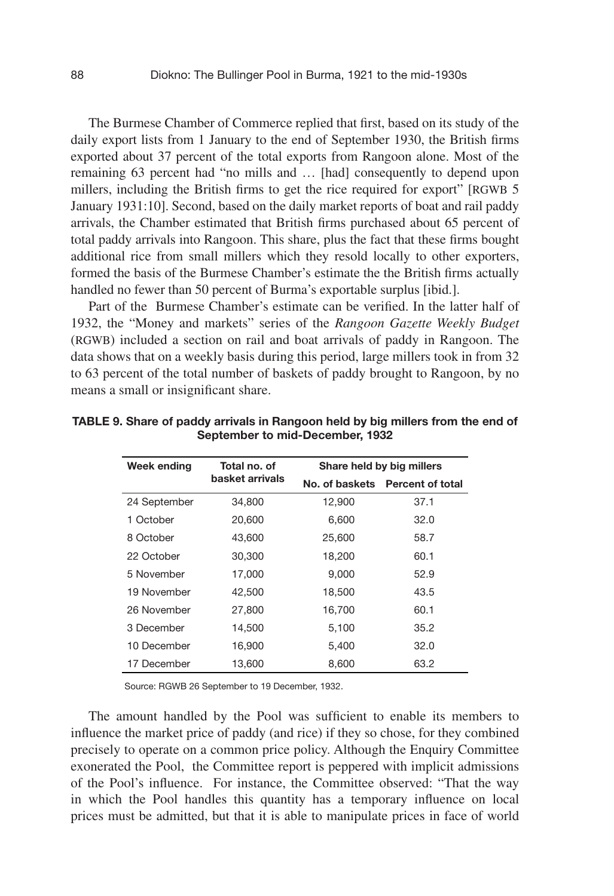The Burmese Chamber of Commerce replied that first, based on its study of the daily export lists from 1 January to the end of September 1930, the British firms exported about 37 percent of the total exports from Rangoon alone. Most of the remaining 63 percent had "no mills and … [had] consequently to depend upon millers, including the British firms to get the rice required for export" [RGWB 5] January 1931:10]. Second, based on the daily market reports of boat and rail paddy arrivals, the Chamber estimated that British firms purchased about 65 percent of total paddy arrivals into Rangoon. This share, plus the fact that these firms bought additional rice from small millers which they resold locally to other exporters, formed the basis of the Burmese Chamber's estimate the the British firms actually handled no fewer than 50 percent of Burma's exportable surplus [ibid.].

Part of the Burmese Chamber's estimate can be verified. In the latter half of 1932, the "Money and markets" series of the *Rangoon Gazette Weekly Budget* (RGWB) included a section on rail and boat arrivals of paddy in Rangoon. The data shows that on a weekly basis during this period, large millers took in from 32 to 63 percent of the total number of baskets of paddy brought to Rangoon, by no means a small or insignificant share.

| <b>Week ending</b> | Total no. of    |        | Share held by big millers       |
|--------------------|-----------------|--------|---------------------------------|
|                    | basket arrivals |        | No. of baskets Percent of total |
| 24 September       | 34,800          | 12,900 | 37.1                            |
| 1 October          | 20,600          | 6.600  | 32.0                            |
| 8 October          | 43,600          | 25,600 | 58.7                            |
| 22 October         | 30,300          | 18,200 | 60.1                            |
| 5 November         | 17,000          | 9.000  | 52.9                            |
| 19 November        | 42,500          | 18.500 | 43.5                            |
| 26 November        | 27,800          | 16,700 | 60.1                            |
| 3 December         | 14.500          | 5.100  | 35.2                            |
| 10 December        | 16.900          | 5.400  | 32.0                            |
| 17 December        | 13,600          | 8,600  | 63.2                            |

TABLE 9. Share of paddy arrivals in Rangoon held by big millers from the end of September to mid-December, 1932

Source: RGWB 26 September to 19 December, 1932.

The amount handled by the Pool was sufficient to enable its members to influence the market price of paddy (and rice) if they so chose, for they combined precisely to operate on a common price policy. Although the Enquiry Committee exonerated the Pool, the Committee report is peppered with implicit admissions of the Pool's influence. For instance, the Committee observed: "That the way in which the Pool handles this quantity has a temporary influence on local prices must be admitted, but that it is able to manipulate prices in face of world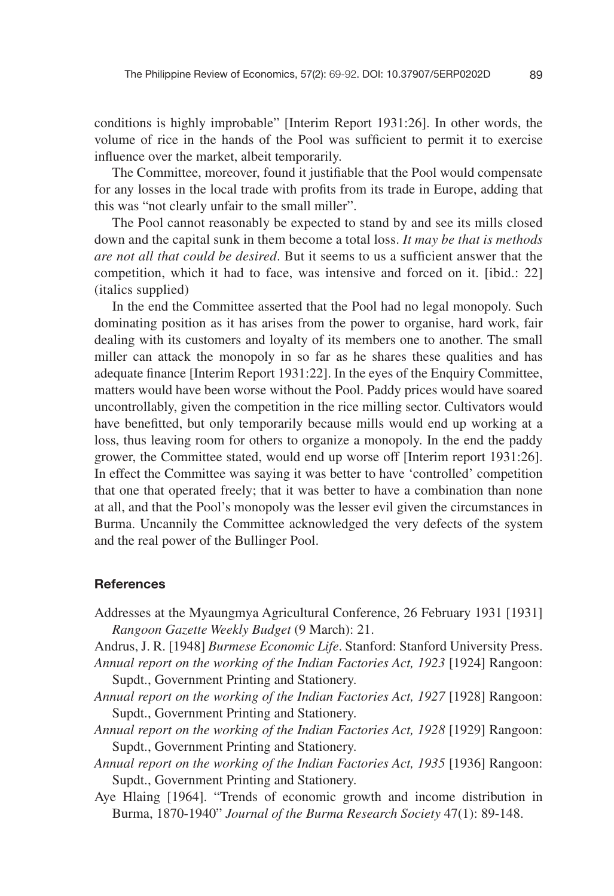conditions is highly improbable" [Interim Report 1931:26]. In other words, the volume of rice in the hands of the Pool was sufficient to permit it to exercise influence over the market, albeit temporarily.

The Committee, moreover, found it justifiable that the Pool would compensate for any losses in the local trade with profits from its trade in Europe, adding that this was "not clearly unfair to the small miller".

The Pool cannot reasonably be expected to stand by and see its mills closed down and the capital sunk in them become a total loss. *It may be that is methods are not all that could be desired.* But it seems to us a sufficient answer that the competition, which it had to face, was intensive and forced on it. [ibid.: 22] (italics supplied)

In the end the Committee asserted that the Pool had no legal monopoly. Such dominating position as it has arises from the power to organise, hard work, fair dealing with its customers and loyalty of its members one to another. The small miller can attack the monopoly in so far as he shares these qualities and has adequate finance [Interim Report 1931:22]. In the eyes of the Enquiry Committee, matters would have been worse without the Pool. Paddy prices would have soared uncontrollably, given the competition in the rice milling sector. Cultivators would have benefitted, but only temporarily because mills would end up working at a loss, thus leaving room for others to organize a monopoly. In the end the paddy grower, the Committee stated, would end up worse off [Interim report 1931:26]. In effect the Committee was saying it was better to have 'controlled' competition that one that operated freely; that it was better to have a combination than none at all, and that the Pool's monopoly was the lesser evil given the circumstances in Burma. Uncannily the Committee acknowledged the very defects of the system and the real power of the Bullinger Pool.

#### **References**

Addresses at the Myaungmya Agricultural Conference, 26 February 1931 [1931] *Rangoon Gazette Weekly Budget* (9 March): 21.

Andrus, J. R. [1948] *Burmese Economic Life*. Stanford: Stanford University Press. *Annual report on the working of the Indian Factories Act, 1923* [1924] Rangoon:

Supdt., Government Printing and Stationery.

- *Annual report on the working of the Indian Factories Act, 1927* [1928] Rangoon: Supdt., Government Printing and Stationery.
- *Annual report on the working of the Indian Factories Act, 1928* [1929] Rangoon: Supdt., Government Printing and Stationery.
- *Annual report on the working of the Indian Factories Act, 1935* [1936] Rangoon: Supdt., Government Printing and Stationery.
- Aye Hlaing [1964]. "Trends of economic growth and income distribution in Burma, 1870-1940" *Journal of the Burma Research Society* 47(1): 89-148.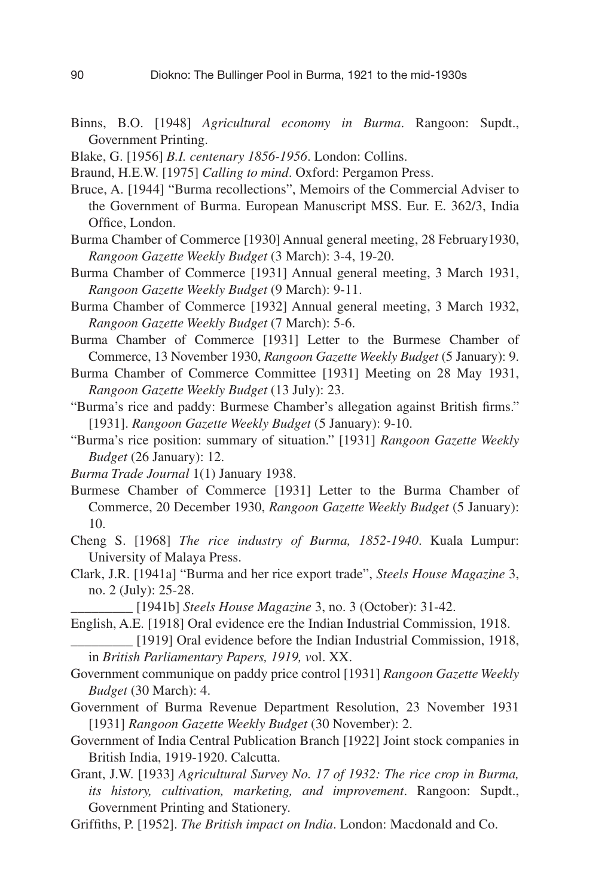- Binns, B.O. [1948] *Agricultural economy in Burma*. Rangoon: Supdt., Government Printing.
- Blake, G. [1956] *B.I. centenary 1856-1956*. London: Collins.
- Braund, H.E.W. [1975] *Calling to mind*. Oxford: Pergamon Press.
- Bruce, A. [1944] "Burma recollections", Memoirs of the Commercial Adviser to the Government of Burma. European Manuscript MSS. Eur. E. 362/3, India Office, London.
- Burma Chamber of Commerce [1930] Annual general meeting, 28 February1930, *Rangoon Gazette Weekly Budget* (3 March): 3-4, 19-20.
- Burma Chamber of Commerce [1931] Annual general meeting, 3 March 1931, *Rangoon Gazette Weekly Budget* (9 March): 9-11.
- Burma Chamber of Commerce [1932] Annual general meeting, 3 March 1932, *Rangoon Gazette Weekly Budget* (7 March): 5-6.
- Burma Chamber of Commerce [1931] Letter to the Burmese Chamber of Commerce, 13 November 1930, *Rangoon Gazette Weekly Budget* (5 January): 9.
- Burma Chamber of Commerce Committee [1931] Meeting on 28 May 1931, *Rangoon Gazette Weekly Budget* (13 July): 23.
- "Burma's rice and paddy: Burmese Chamber's allegation against British firms." [1931]. *Rangoon Gazette Weekly Budget* (5 January): 9-10.
- "Burma's rice position: summary of situation." [1931] *Rangoon Gazette Weekly Budget* (26 January): 12.
- *Burma Trade Journal* 1(1) January 1938.
- Burmese Chamber of Commerce [1931] Letter to the Burma Chamber of Commerce, 20 December 1930, *Rangoon Gazette Weekly Budget* (5 January): 10.
- Cheng S. [1968] *The rice industry of Burma, 1852-1940*. Kuala Lumpur: University of Malaya Press.
- Clark, J.R. [1941a] "Burma and her rice export trade", *Steels House Magazine* 3, no. 2 (July): 25-28.

\_\_\_\_\_\_\_\_\_ [1941b] *Steels House Magazine* 3, no. 3 (October): 31-42.

English, A.E. [1918] Oral evidence ere the Indian Industrial Commission, 1918.

\_\_\_\_\_\_\_\_\_ [1919] Oral evidence before the Indian Industrial Commission, 1918, in *British Parliamentary Papers, 1919, v*ol. XX.

- Government communique on paddy price control [1931] *Rangoon Gazette Weekly Budget* (30 March): 4.
- Government of Burma Revenue Department Resolution, 23 November 1931 [1931] *Rangoon Gazette Weekly Budget* (30 November): 2.
- Government of India Central Publication Branch [1922] Joint stock companies in British India, 1919-1920. Calcutta.
- Grant, J.W. [1933] *Agricultural Survey No. 17 of 1932: The rice crop in Burma, its history, cultivation, marketing, and improvement*. Rangoon: Supdt., Government Printing and Stationery.
- Griffiths, P. [1952]. *The British impact on India*. London: Macdonald and Co.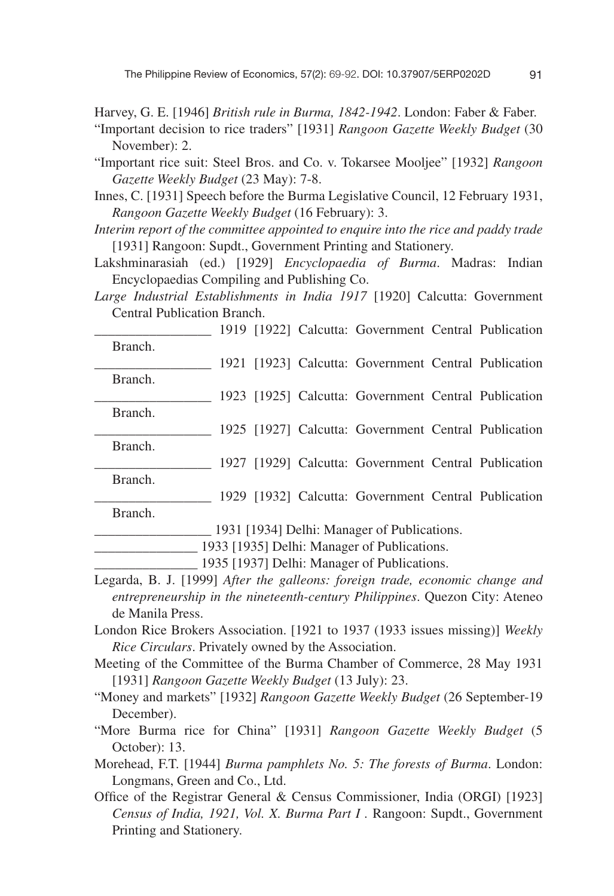- Harvey, G. E. [1946] *British rule in Burma, 1842-1942*. London: Faber & Faber.
- "Important decision to rice traders" [1931] *Rangoon Gazette Weekly Budget* (30 November): 2.
- "Important rice suit: Steel Bros. and Co. v. Tokarsee Mooljee" [1932] *Rangoon Gazette Weekly Budget* (23 May): 7-8.
- Innes, C. [1931] Speech before the Burma Legislative Council, 12 February 1931, *Rangoon Gazette Weekly Budget* (16 February): 3.
- *Interim report of the committee appointed to enquire into the rice and paddy trade* [1931] Rangoon: Supdt., Government Printing and Stationery.
- Lakshminarasiah (ed.) [1929] *Encyclopaedia of Burma*. Madras: Indian Encyclopaedias Compiling and Publishing Co.
- *Large Industrial Establishments in India 1917* [1920] Calcutta: Government Central Publication Branch.
	- \_\_\_\_\_\_\_\_\_\_\_\_\_\_\_\_\_ 1919 [1922] Calcutta: Government Central Publication Branch.
	- \_\_\_\_\_\_\_\_\_\_\_\_\_\_\_\_\_ 1921 [1923] Calcutta: Government Central Publication Branch.
	- \_\_\_\_\_\_\_\_\_\_\_\_\_\_\_\_\_ 1923 [1925] Calcutta: Government Central Publication Branch.
	- \_\_\_\_\_\_\_\_\_\_\_\_\_\_\_\_\_ 1925 [1927] Calcutta: Government Central Publication
	- Branch. \_\_\_\_\_\_\_\_\_\_\_\_\_\_\_\_\_ 1927 [1929] Calcutta: Government Central Publication
	- Branch. \_\_\_\_\_\_\_\_\_\_\_\_\_\_\_\_\_ 1929 [1932] Calcutta: Government Central Publication
	- Branch.

\_\_\_\_\_\_\_\_\_\_\_\_\_\_\_\_\_ 1931 [1934] Delhi: Manager of Publications.

1933 [1935] Delhi: Manager of Publications.

\_\_\_\_\_\_\_\_\_\_\_\_\_\_\_ 1935 [1937] Delhi: Manager of Publications.

- Legarda, B. J. [1999] *After the galleons: foreign trade, economic change and entrepreneurship in the nineteenth-century Philippines*. Quezon City: Ateneo de Manila Press.
- London Rice Brokers Association. [1921 to 1937 (1933 issues missing)] *Weekly Rice Circulars*. Privately owned by the Association.
- Meeting of the Committee of the Burma Chamber of Commerce, 28 May 1931 [1931] *Rangoon Gazette Weekly Budget* (13 July): 23.
- "Money and markets" [1932] *Rangoon Gazette Weekly Budget* (26 September-19 December).
- "More Burma rice for China" [1931] *Rangoon Gazette Weekly Budget* (5 October): 13.
- Morehead, F.T. [1944] *Burma pamphlets No. 5: The forests of Burma*. London: Longmans, Green and Co., Ltd.
- Office of the Registrar General & Census Commissioner, India (ORGI) [1923] *Census of India, 1921, Vol. X. Burma Part I .* Rangoon: Supdt., Government Printing and Stationery.